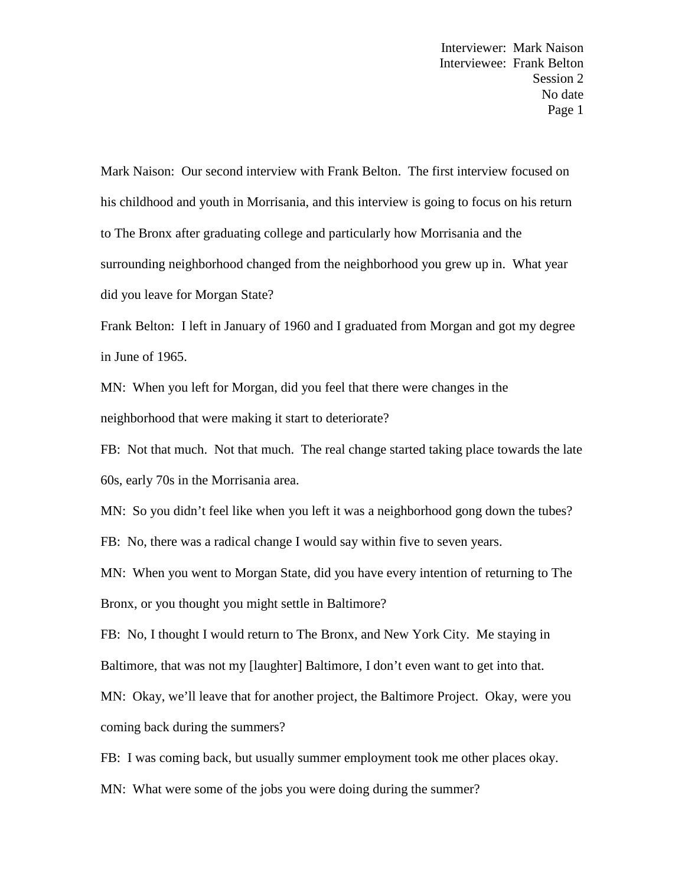Mark Naison: Our second interview with Frank Belton. The first interview focused on his childhood and youth in Morrisania, and this interview is going to focus on his return to The Bronx after graduating college and particularly how Morrisania and the surrounding neighborhood changed from the neighborhood you grew up in. What year did you leave for Morgan State?

Frank Belton: I left in January of 1960 and I graduated from Morgan and got my degree in June of 1965.

MN: When you left for Morgan, did you feel that there were changes in the neighborhood that were making it start to deteriorate?

FB: Not that much. Not that much. The real change started taking place towards the late 60s, early 70s in the Morrisania area.

MN: So you didn't feel like when you left it was a neighborhood gong down the tubes?

FB: No, there was a radical change I would say within five to seven years.

MN: When you went to Morgan State, did you have every intention of returning to The Bronx, or you thought you might settle in Baltimore?

FB: No, I thought I would return to The Bronx, and New York City. Me staying in Baltimore, that was not my [laughter] Baltimore, I don't even want to get into that.

MN: Okay, we'll leave that for another project, the Baltimore Project. Okay, were you coming back during the summers?

FB: I was coming back, but usually summer employment took me other places okay.

MN: What were some of the jobs you were doing during the summer?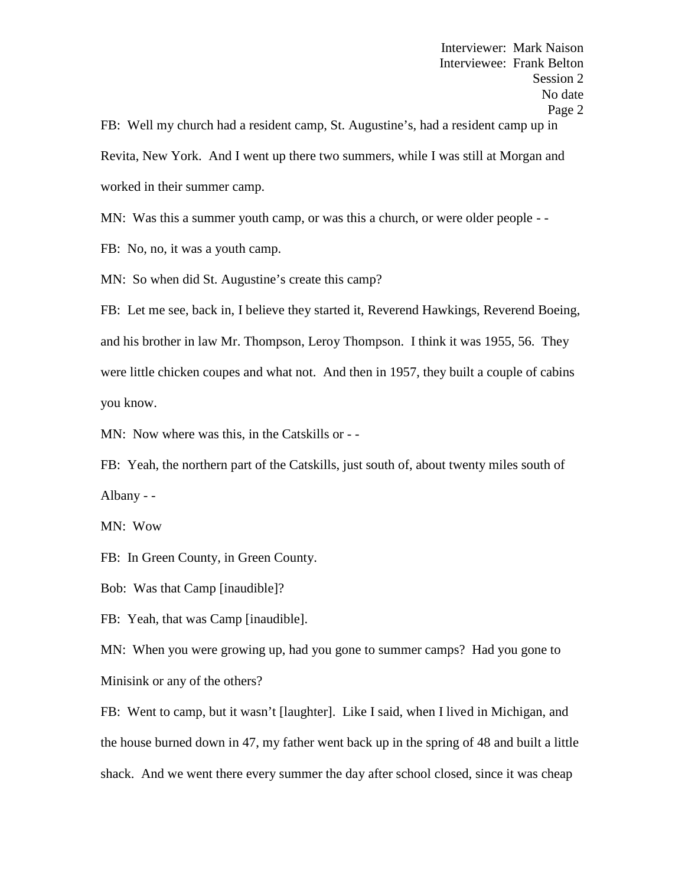FB: Well my church had a resident camp, St. Augustine's, had a resident camp up in Revita, New York. And I went up there two summers, while I was still at Morgan and worked in their summer camp.

MN: Was this a summer youth camp, or was this a church, or were older people --

FB: No, no, it was a youth camp.

MN: So when did St. Augustine's create this camp?

FB: Let me see, back in, I believe they started it, Reverend Hawkings, Reverend Boeing, and his brother in law Mr. Thompson, Leroy Thompson. I think it was 1955, 56. They were little chicken coupes and what not. And then in 1957, they built a couple of cabins you know.

MN: Now where was this, in the Catskills or - -

FB: Yeah, the northern part of the Catskills, just south of, about twenty miles south of Albany - -<br>MN: Wow

FB: In Green County, in Green County.

Bob: Was that Camp [inaudible]?

FB: Yeah, that was Camp [inaudible].

MN: When you were growing up, had you gone to summer camps? Had you gone to Minisink or any of the others?

FB: Went to camp, but it wasn't [laughter]. Like I said, when I lived in Michigan, and the house burned down in 47, my father went back up in the spring of 48 and built a little shack. And we went there every summer the day after school closed, since it was cheap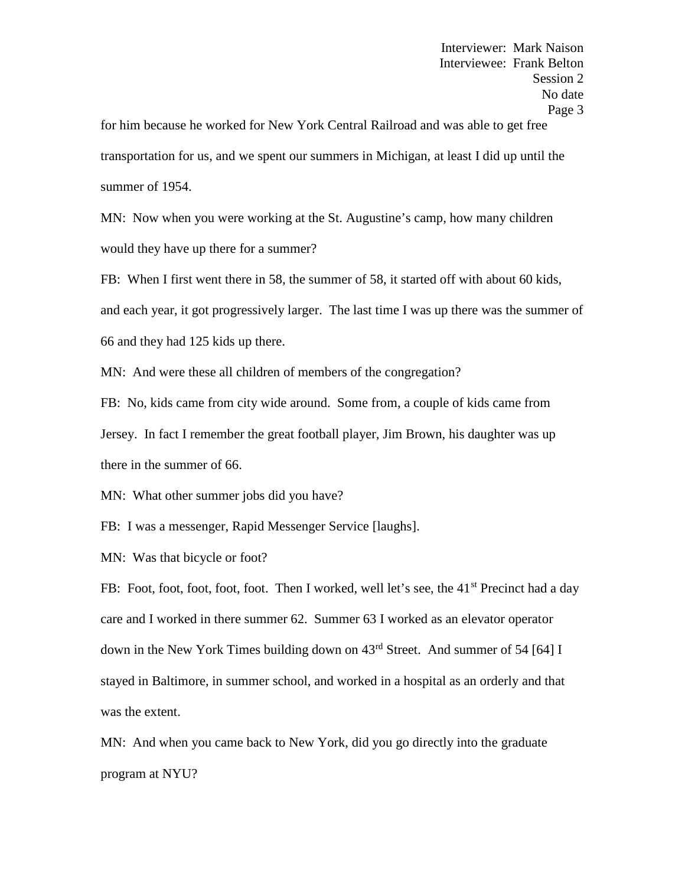for him because he worked for New York Central Railroad and was able to get free transportation for us, and we spent our summers in Michigan, at least I did up until the summer of 1954.

MN: Now when you were working at the St. Augustine's camp, how many children would they have up there for a summer?

FB: When I first went there in 58, the summer of 58, it started off with about 60 kids, and each year, it got progressively larger. The last time I was up there was the summer of 66 and they had 125 kids up there.

MN: And were these all children of members of the congregation?

FB: No, kids came from city wide around. Some from, a couple of kids came from Jersey. In fact I remember the great football player, Jim Brown, his daughter was up there in the summer of 66.

MN: What other summer jobs did you have?

FB: I was a messenger, Rapid Messenger Service [laughs].

MN: Was that bicycle or foot?

FB: Foot, foot, foot, foot, foot. Then I worked, well let's see, the 41<sup>st</sup> Precinct had a day care and I worked in there summer 62. Summer 63 I worked as an elevator operator down in the New York Times building down on 43rd Street. And summer of 54 [64] I stayed in Baltimore, in summer school, and worked in a hospital as an orderly and that was the extent.

MN: And when you came back to New York, did you go directly into the graduate program at NYU?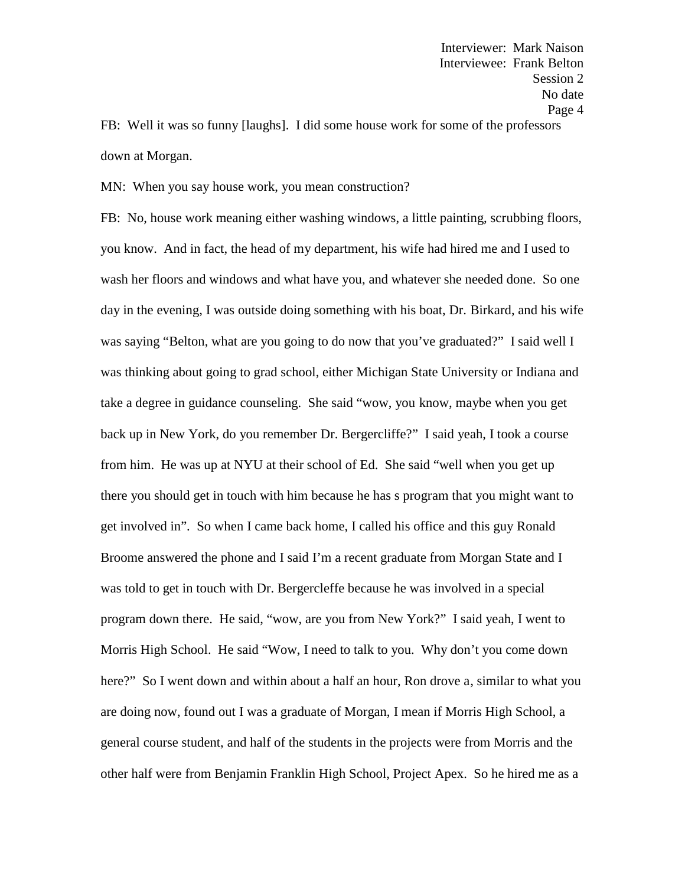FB: Well it was so funny [laughs]. I did some house work for some of the professors down at Morgan.

MN: When you say house work, you mean construction?

FB: No, house work meaning either washing windows, a little painting, scrubbing floors, you know. And in fact, the head of my department, his wife had hired me and I used to wash her floors and windows and what have you, and whatever she needed done. So one day in the evening, I was outside doing something with his boat, Dr. Birkard, and his wife was saying "Belton, what are you going to do now that you've graduated?" I said well I was thinking about going to grad school, either Michigan State University or Indiana and take a degree in guidance counseling. She said "wow, you know, maybe when you get back up in New York, do you remember Dr. Bergercliffe?" I said yeah, I took a course from him. He was up at NYU at their school of Ed. She said "well when you get up there you should get in touch with him because he has s program that you might want to get involved in". So when I came back home, I called his office and this guy Ronald Broome answered the phone and I said I'm a recent graduate from Morgan State and I was told to get in touch with Dr. Bergercleffe because he was involved in a special program down there. He said, "wow, are you from New York?" I said yeah, I went to Morris High School. He said "Wow, I need to talk to you. Why don't you come down here?" So I went down and within about a half an hour, Ron drove a, similar to what you are doing now, found out I was a graduate of Morgan, I mean if Morris High School, a general course student, and half of the students in the projects were from Morris and the other half were from Benjamin Franklin High School, Project Apex. So he hired me as a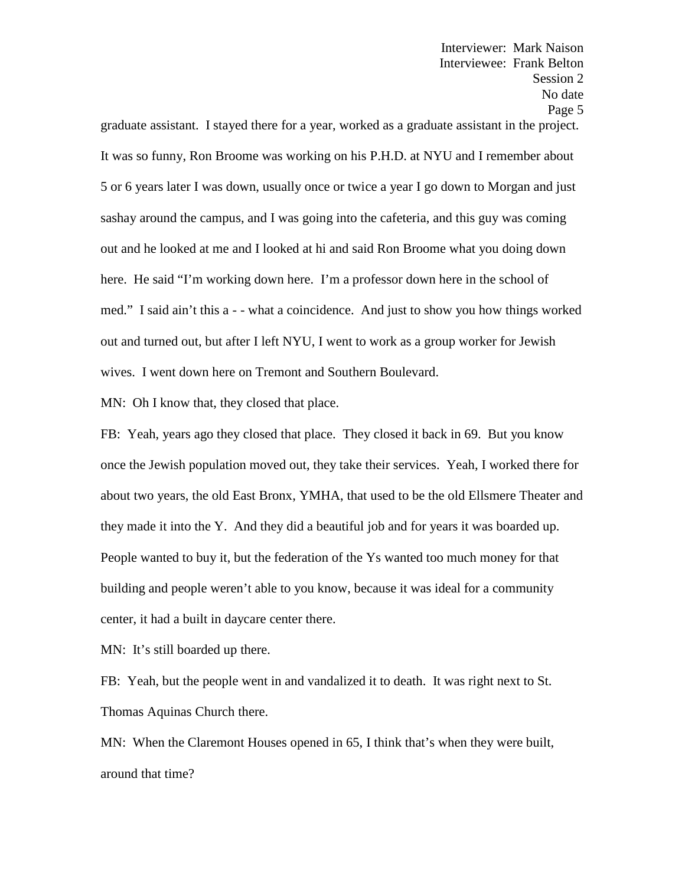graduate assistant. I stayed there for a year, worked as a graduate assistant in the project. It was so funny, Ron Broome was working on his P.H.D. at NYU and I remember about 5 or 6 years later I was down, usually once or twice a year I go down to Morgan and just sashay around the campus, and I was going into the cafeteria, and this guy was coming out and he looked at me and I looked at hi and said Ron Broome what you doing down here. He said "I'm working down here. I'm a professor down here in the school of med." I said ain't this a - - what a coincidence. And just to show you how things worked out and turned out, but after I left NYU, I went to work as a group worker for Jewish wives. I went down here on Tremont and Southern Boulevard.

MN: Oh I know that, they closed that place.

FB: Yeah, years ago they closed that place. They closed it back in 69. But you know once the Jewish population moved out, they take their services. Yeah, I worked there for about two years, the old East Bronx, YMHA, that used to be the old Ellsmere Theater and they made it into the Y. And they did a beautiful job and for years it was boarded up. People wanted to buy it, but the federation of the Ys wanted too much money for that building and people weren't able to you know, because it was ideal for a community center, it had a built in daycare center there.

MN: It's still boarded up there.

FB: Yeah, but the people went in and vandalized it to death. It was right next to St. Thomas Aquinas Church there.

MN: When the Claremont Houses opened in 65, I think that's when they were built, around that time?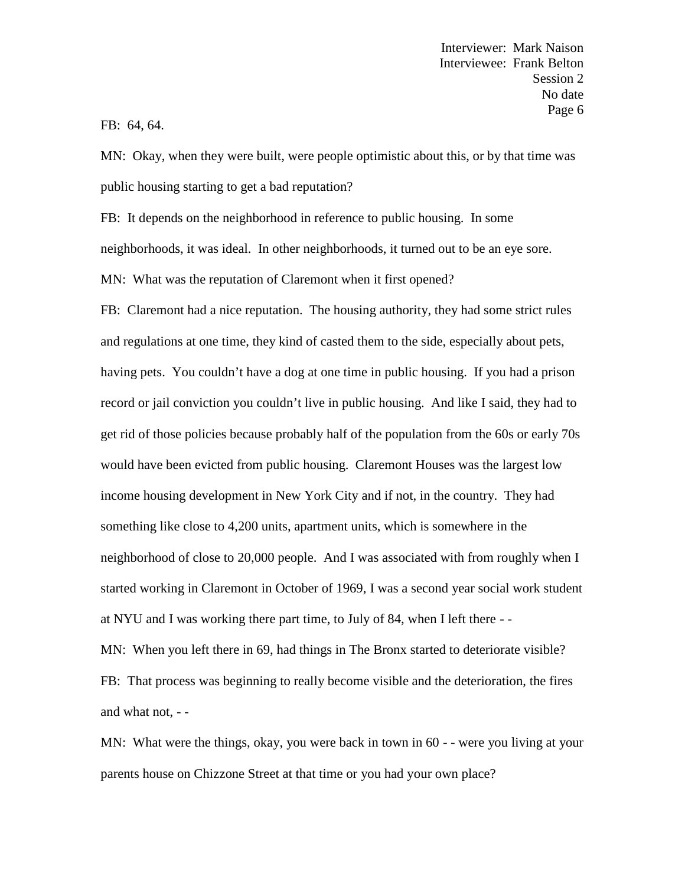# FB: 64, 64.

MN: Okay, when they were built, were people optimistic about this, or by that time was public housing starting to get a bad reputation?

FB: It depends on the neighborhood in reference to public housing. In some

neighborhoods, it was ideal. In other neighborhoods, it turned out to be an eye sore.

MN: What was the reputation of Claremont when it first opened?

FB: Claremont had a nice reputation. The housing authority, they had some strict rules and regulations at one time, they kind of casted them to the side, especially about pets, having pets. You couldn't have a dog at one time in public housing. If you had a prison record or jail conviction you couldn't live in public housing. And like I said, they had to get rid of those policies because probably half of the population from the 60s or early 70s would have been evicted from public housing. Claremont Houses was the largest low income housing development in New York City and if not, in the country. They had something like close to 4,200 units, apartment units, which is somewhere in the neighborhood of close to 20,000 people. And I was associated with from roughly when I started working in Claremont in October of 1969, I was a second year social work student at NYU and I was working there part time, to July of 84, when I left there - -

MN: When you left there in 69, had things in The Bronx started to deteriorate visible? FB: That process was beginning to really become visible and the deterioration, the fires and what not, - -

MN: What were the things, okay, you were back in town in 60 - - were you living at your parents house on Chizzone Street at that time or you had your own place?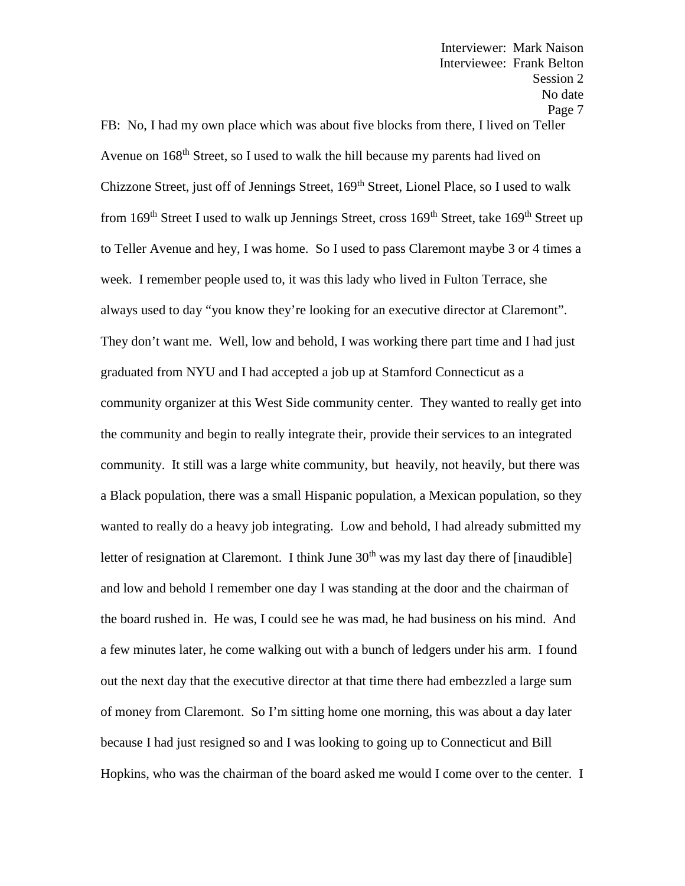FB: No, I had my own place which was about five blocks from there, I lived on Teller Avenue on 168<sup>th</sup> Street, so I used to walk the hill because my parents had lived on Chizzone Street, just off of Jennings Street, 169<sup>th</sup> Street, Lionel Place, so I used to walk from 169<sup>th</sup> Street I used to walk up Jennings Street, cross  $169^{th}$  Street, take  $169^{th}$  Street up to Teller Avenue and hey, I was home. So I used to pass Claremont maybe 3 or 4 times a week. I remember people used to, it was this lady who lived in Fulton Terrace, she always used to day "you know they're looking for an executive director at Claremont". They don't want me. Well, low and behold, I was working there part time and I had just graduated from NYU and I had accepted a job up at Stamford Connecticut as a community organizer at this West Side community center. They wanted to really get into the community and begin to really integrate their, provide their services to an integrated community. It still was a large white community, but heavily, not heavily, but there was a Black population, there was a small Hispanic population, a Mexican population, so they wanted to really do a heavy job integrating. Low and behold, I had already submitted my letter of resignation at Claremont. I think June  $30<sup>th</sup>$  was my last day there of [inaudible] and low and behold I remember one day I was standing at the door and the chairman of the board rushed in. He was, I could see he was mad, he had business on his mind. And a few minutes later, he come walking out with a bunch of ledgers under his arm. I found out the next day that the executive director at that time there had embezzled a large sum of money from Claremont. So I'm sitting home one morning, this was about a day later because I had just resigned so and I was looking to going up to Connecticut and Bill Hopkins, who was the chairman of the board asked me would I come over to the center. I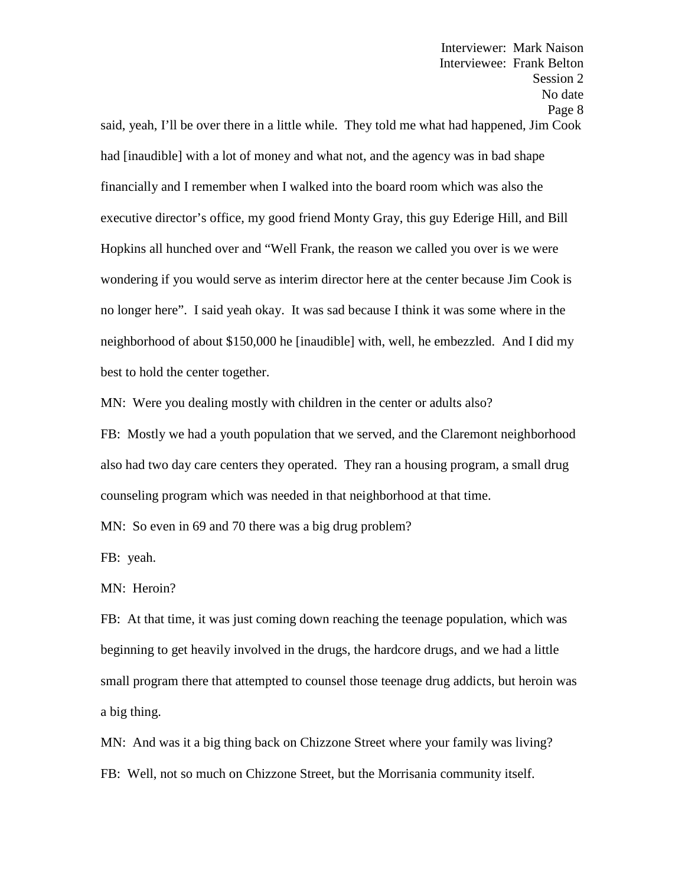Session 2 No date Page 8 said, yeah, I'll be over there in a little while. They told me what had happened, Jim Cook had [inaudible] with a lot of money and what not, and the agency was in bad shape financially and I remember when I walked into the board room which was also the executive director's office, my good friend Monty Gray, this guy Ederige Hill, and Bill Hopkins all hunched over and "Well Frank, the reason we called you over is we were wondering if you would serve as interim director here at the center because Jim Cook is no longer here". I said yeah okay. It was sad because I think it was some where in the neighborhood of about \$150,000 he [inaudible] with, well, he embezzled. And I did my best to hold the center together.

Interviewer: Mark Naison Interviewee: Frank Belton

MN: Were you dealing mostly with children in the center or adults also?

FB: Mostly we had a youth population that we served, and the Claremont neighborhood also had two day care centers they operated. They ran a housing program, a small drug counseling program which was needed in that neighborhood at that time.

MN: So even in 69 and 70 there was a big drug problem?

FB: yeah.

MN: Heroin?

FB: At that time, it was just coming down reaching the teenage population, which was beginning to get heavily involved in the drugs, the hardcore drugs, and we had a little small program there that attempted to counsel those teenage drug addicts, but heroin was a big thing.

MN: And was it a big thing back on Chizzone Street where your family was living? FB: Well, not so much on Chizzone Street, but the Morrisania community itself.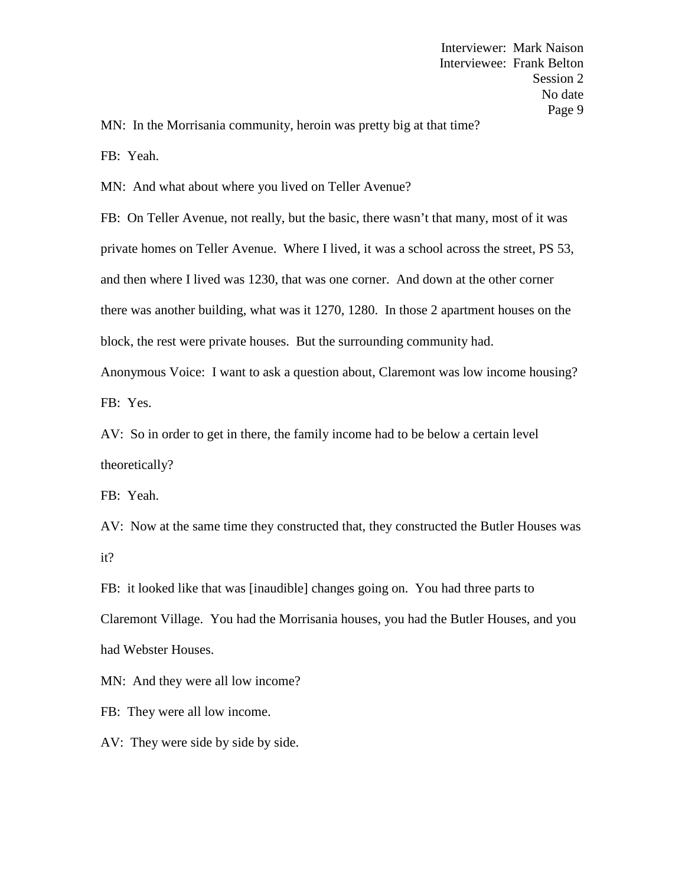MN: In the Morrisania community, heroin was pretty big at that time?

FB: Yeah.

MN: And what about where you lived on Teller Avenue?

FB: On Teller Avenue, not really, but the basic, there wasn't that many, most of it was private homes on Teller Avenue. Where I lived, it was a school across the street, PS 53, and then where I lived was 1230, that was one corner. And down at the other corner there was another building, what was it 1270, 1280. In those 2 apartment houses on the block, the rest were private houses. But the surrounding community had. Anonymous Voice: I want to ask a question about, Claremont was low income housing?

FB: Yes.

AV: So in order to get in there, the family income had to be below a certain level theoretically?

FB: Yeah.

AV: Now at the same time they constructed that, they constructed the Butler Houses was it?

FB: it looked like that was [inaudible] changes going on. You had three parts to Claremont Village. You had the Morrisania houses, you had the Butler Houses, and you had Webster Houses.

MN: And they were all low income?

FB: They were all low income.

AV: They were side by side by side.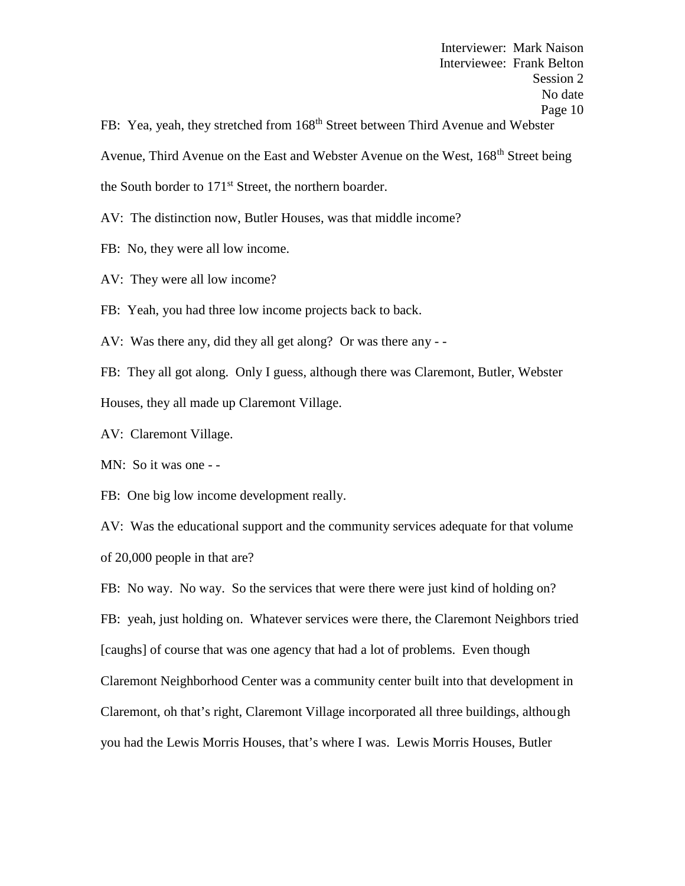FB: Yea, yeah, they stretched from 168<sup>th</sup> Street between Third Avenue and Webster Avenue, Third Avenue on the East and Webster Avenue on the West, 168<sup>th</sup> Street being the South border to 171<sup>st</sup> Street, the northern boarder.

AV: The distinction now, Butler Houses, was that middle income?

- FB: No, they were all low income.
- AV: They were all low income?

FB: Yeah, you had three low income projects back to back.

AV: Was there any, did they all get along? Or was there any - -

FB: They all got along. Only I guess, although there was Claremont, Butler, Webster Houses, they all made up Claremont Village.

AV: Claremont Village.

MN: So it was one - -

FB: One big low income development really.

AV: Was the educational support and the community services adequate for that volume of 20,000 people in that are?

FB: No way. No way. So the services that were there were just kind of holding on? FB: yeah, just holding on. Whatever services were there, the Claremont Neighbors tried [caughs] of course that was one agency that had a lot of problems. Even though Claremont Neighborhood Center was a community center built into that development in Claremont, oh that's right, Claremont Village incorporated all three buildings, although you had the Lewis Morris Houses, that's where I was. Lewis Morris Houses, Butler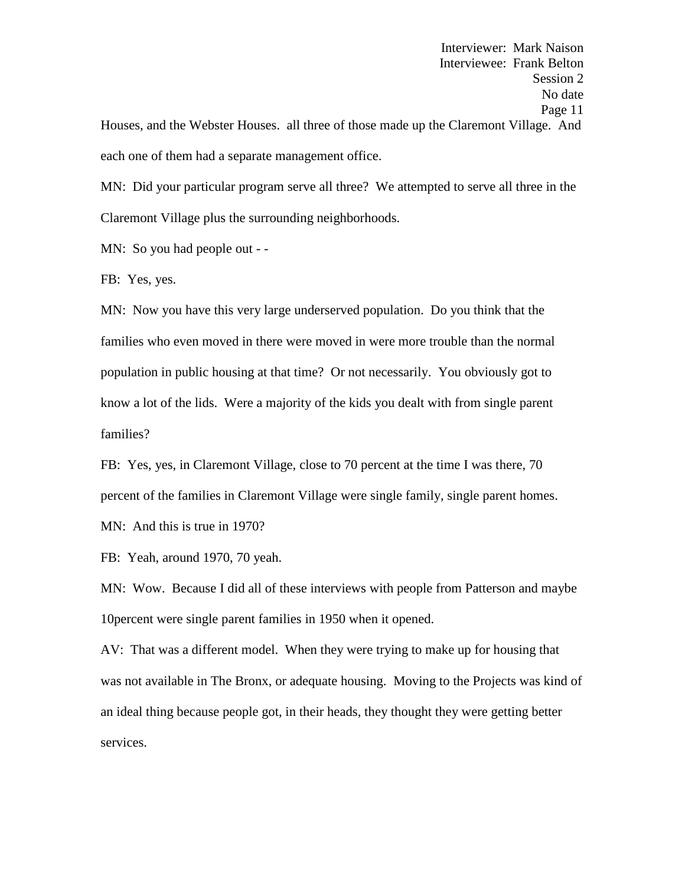Interviewer: Mark Naison Interviewee: Frank Belton Session 2 No date Page 11 Houses, and the Webster Houses. all three of those made up the Claremont Village. And each one of them had a separate management office.

MN: Did your particular program serve all three? We attempted to serve all three in the Claremont Village plus the surrounding neighborhoods.

MN: So you had people out - -

FB: Yes, yes.

MN: Now you have this very large underserved population. Do you think that the families who even moved in there were moved in were more trouble than the normal population in public housing at that time? Or not necessarily. You obviously got to know a lot of the lids. Were a majority of the kids you dealt with from single parent families?

FB: Yes, yes, in Claremont Village, close to 70 percent at the time I was there, 70 percent of the families in Claremont Village were single family, single parent homes. MN: And this is true in 1970?

FB: Yeah, around 1970, 70 yeah.

MN: Wow. Because I did all of these interviews with people from Patterson and maybe 10percent were single parent families in 1950 when it opened.

AV: That was a different model. When they were trying to make up for housing that was not available in The Bronx, or adequate housing. Moving to the Projects was kind of an ideal thing because people got, in their heads, they thought they were getting better services.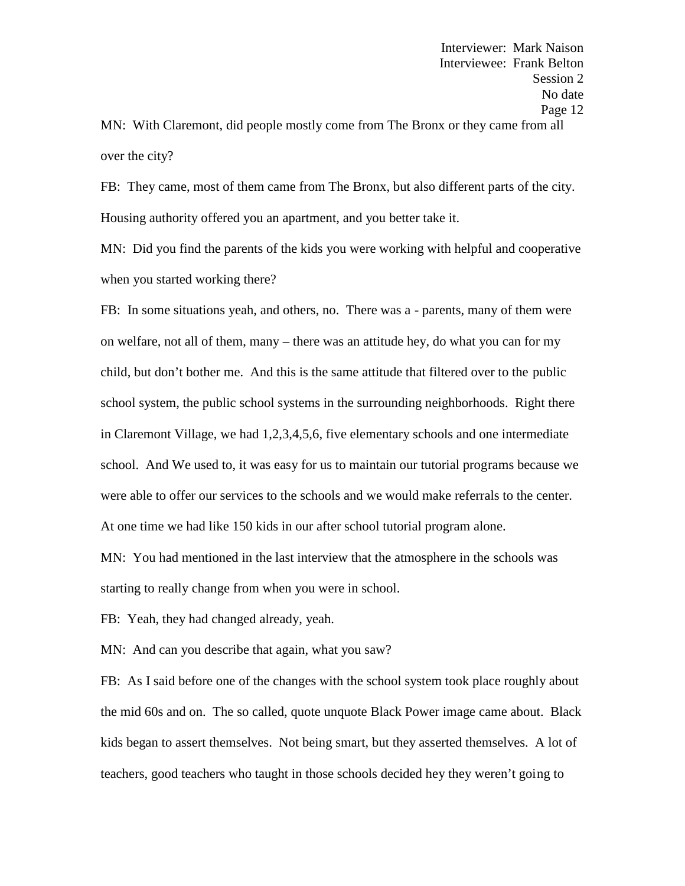MN: With Claremont, did people mostly come from The Bronx or they came from all over the city?

FB: They came, most of them came from The Bronx, but also different parts of the city. Housing authority offered you an apartment, and you better take it.

MN: Did you find the parents of the kids you were working with helpful and cooperative when you started working there?

FB: In some situations yeah, and others, no. There was a - parents, many of them were on welfare, not all of them, many – there was an attitude hey, do what you can for my child, but don't bother me. And this is the same attitude that filtered over to the public school system, the public school systems in the surrounding neighborhoods. Right there in Claremont Village, we had 1,2,3,4,5,6, five elementary schools and one intermediate school. And We used to, it was easy for us to maintain our tutorial programs because we were able to offer our services to the schools and we would make referrals to the center. At one time we had like 150 kids in our after school tutorial program alone.

MN: You had mentioned in the last interview that the atmosphere in the schools was starting to really change from when you were in school.

FB: Yeah, they had changed already, yeah.

MN: And can you describe that again, what you saw?

FB: As I said before one of the changes with the school system took place roughly about the mid 60s and on. The so called, quote unquote Black Power image came about. Black kids began to assert themselves. Not being smart, but they asserted themselves. A lot of teachers, good teachers who taught in those schools decided hey they weren't going to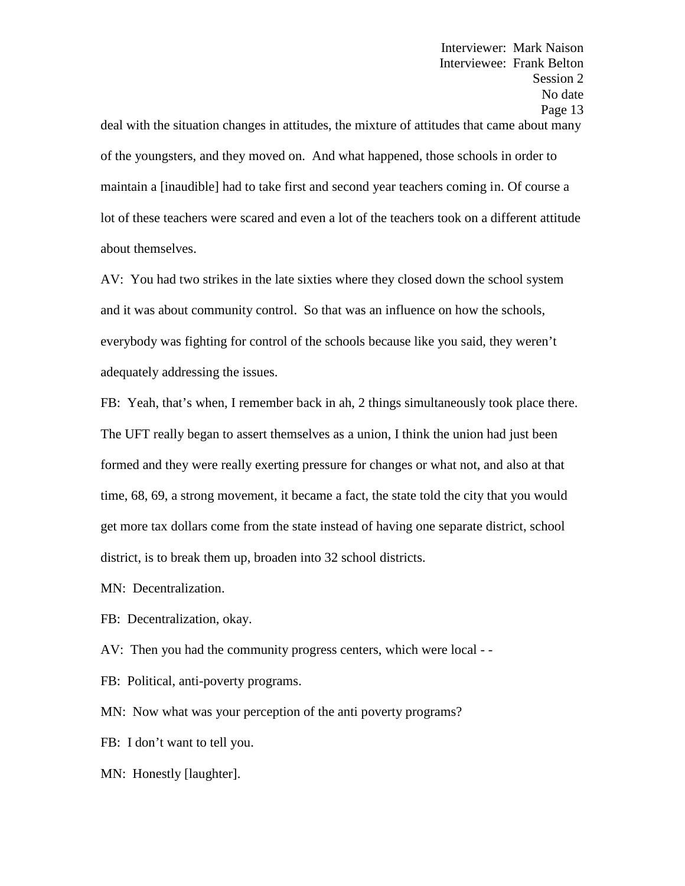deal with the situation changes in attitudes, the mixture of attitudes that came about many of the youngsters, and they moved on. And what happened, those schools in order to maintain a [inaudible] had to take first and second year teachers coming in. Of course a lot of these teachers were scared and even a lot of the teachers took on a different attitude about themselves.

AV: You had two strikes in the late sixties where they closed down the school system and it was about community control. So that was an influence on how the schools, everybody was fighting for control of the schools because like you said, they weren't adequately addressing the issues.

FB: Yeah, that's when, I remember back in ah, 2 things simultaneously took place there. The UFT really began to assert themselves as a union, I think the union had just been formed and they were really exerting pressure for changes or what not, and also at that time, 68, 69, a strong movement, it became a fact, the state told the city that you would get more tax dollars come from the state instead of having one separate district, school district, is to break them up, broaden into 32 school districts.

MN: Decentralization.

FB: Decentralization, okay.

AV: Then you had the community progress centers, which were local - -

FB: Political, anti-poverty programs.

MN: Now what was your perception of the anti poverty programs?

FB: I don't want to tell you.

MN: Honestly [laughter].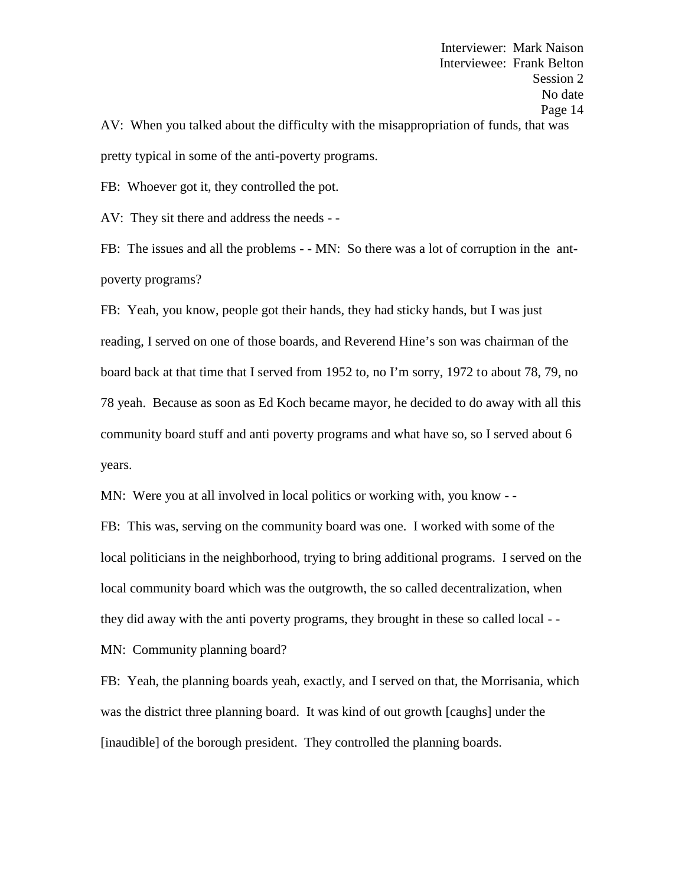Interviewer: Mark Naison Interviewee: Frank Belton Session 2 No date Page 14 AV: When you talked about the difficulty with the misappropriation of funds, that was pretty typical in some of the anti-poverty programs.

FB: Whoever got it, they controlled the pot.

AV: They sit there and address the needs - -

FB: The issues and all the problems - - MN: So there was a lot of corruption in the ant poverty programs?

FB: Yeah, you know, people got their hands, they had sticky hands, but I was just reading, I served on one of those boards, and Reverend Hine's son was chairman of the board back at that time that I served from 1952 to, no I'm sorry, 1972 to about 78, 79, no 78 yeah. Because as soon as Ed Koch became mayor, he decided to do away with all this community board stuff and anti poverty programs and what have so, so I served about 6 years.

MN: Were you at all involved in local politics or working with, you know - -

FB: This was, serving on the community board was one. I worked with some of the local politicians in the neighborhood, trying to bring additional programs. I served on the local community board which was the outgrowth, the so called decentralization, when they did away with the anti poverty programs, they brought in these so called local - -

MN: Community planning board?

FB: Yeah, the planning boards yeah, exactly, and I served on that, the Morrisania, which was the district three planning board. It was kind of out growth [caughs] under the [inaudible] of the borough president. They controlled the planning boards.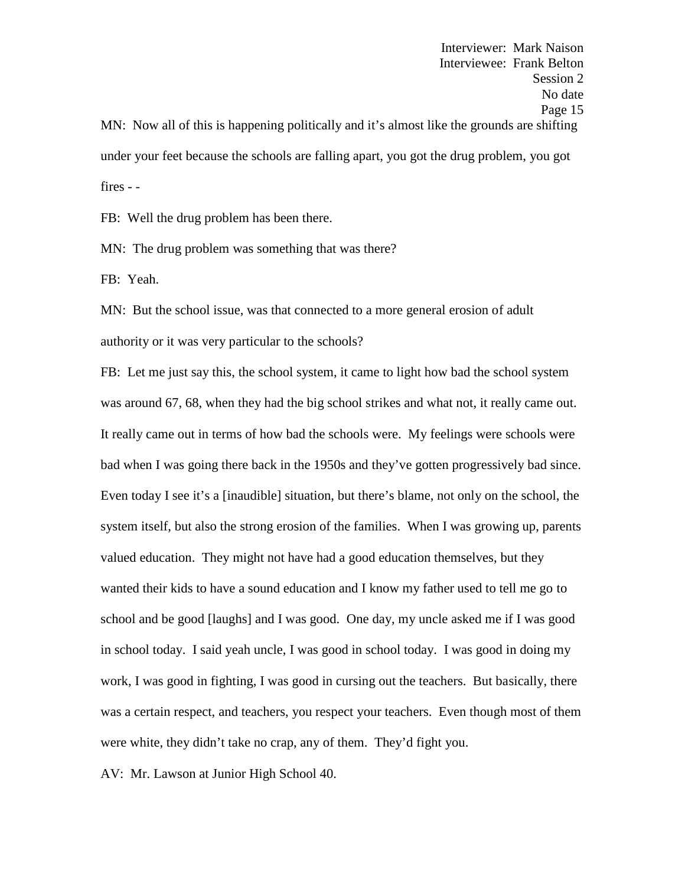Interviewer: Mark Naison Interviewee: Frank Belton Session 2 No date Page 15 MN: Now all of this is happening politically and it's almost like the grounds are shifting under your feet because the schools are falling apart, you got the drug problem, you got fires - -

FB: Well the drug problem has been there.

MN: The drug problem was something that was there?

FB: Yeah.

MN: But the school issue, was that connected to a more general erosion of adult authority or it was very particular to the schools?

FB: Let me just say this, the school system, it came to light how bad the school system was around 67, 68, when they had the big school strikes and what not, it really came out. It really came out in terms of how bad the schools were. My feelings were schools were bad when I was going there back in the 1950s and they've gotten progressively bad since. Even today I see it's a [inaudible] situation, but there's blame, not only on the school, the system itself, but also the strong erosion of the families. When I was growing up, parents valued education. They might not have had a good education themselves, but they wanted their kids to have a sound education and I know my father used to tell me go to school and be good [laughs] and I was good. One day, my uncle asked me if I was good in school today. I said yeah uncle, I was good in school today. I was good in doing my work, I was good in fighting, I was good in cursing out the teachers. But basically, there was a certain respect, and teachers, you respect your teachers. Even though most of them were white, they didn't take no crap, any of them. They'd fight you.

AV: Mr. Lawson at Junior High School 40.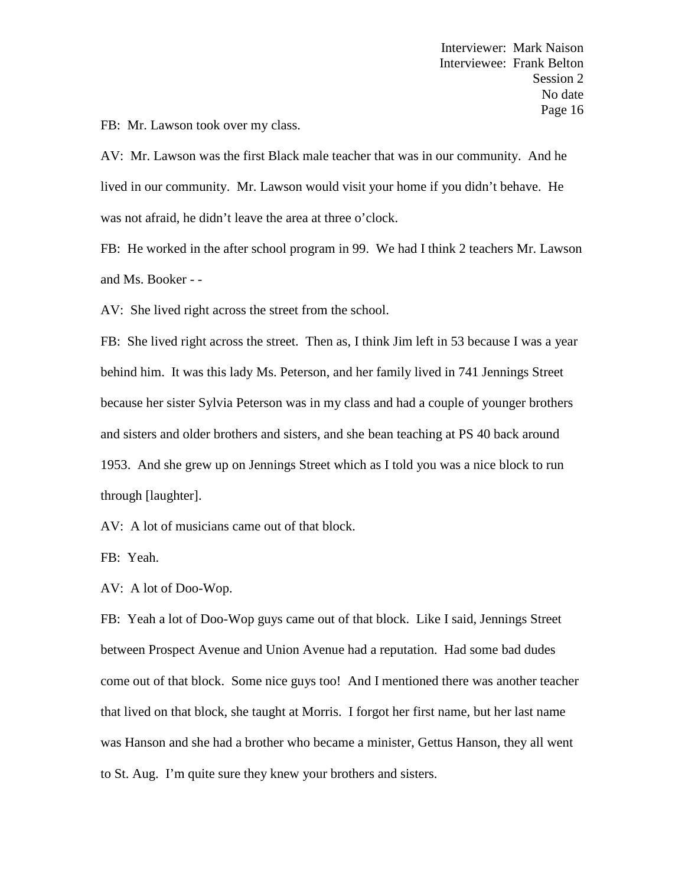FB: Mr. Lawson took over my class.

AV: Mr. Lawson was the first Black male teacher that was in our community. And he lived in our community. Mr. Lawson would visit your home if you didn't behave. He was not afraid, he didn't leave the area at three o'clock.

FB: He worked in the after school program in 99. We had I think 2 teachers Mr. Lawson and Ms. Booker - -

AV: She lived right across the street from the school.

FB: She lived right across the street. Then as, I think Jim left in 53 because I was a year behind him. It was this lady Ms. Peterson, and her family lived in 741 Jennings Street because her sister Sylvia Peterson was in my class and had a couple of younger brothers and sisters and older brothers and sisters, and she bean teaching at PS 40 back around 1953. And she grew up on Jennings Street which as I told you was a nice block to run through [laughter].

AV: A lot of musicians came out of that block.

FB: Yeah.

AV: A lot of Doo-Wop.

FB: Yeah a lot of Doo-Wop guys came out of that block. Like I said, Jennings Street between Prospect Avenue and Union Avenue had a reputation. Had some bad dudes come out of that block. Some nice guys too! And I mentioned there was another teacher that lived on that block, she taught at Morris. I forgot her first name, but her last name was Hanson and she had a brother who became a minister, Gettus Hanson, they all went to St. Aug. I'm quite sure they knew your brothers and sisters.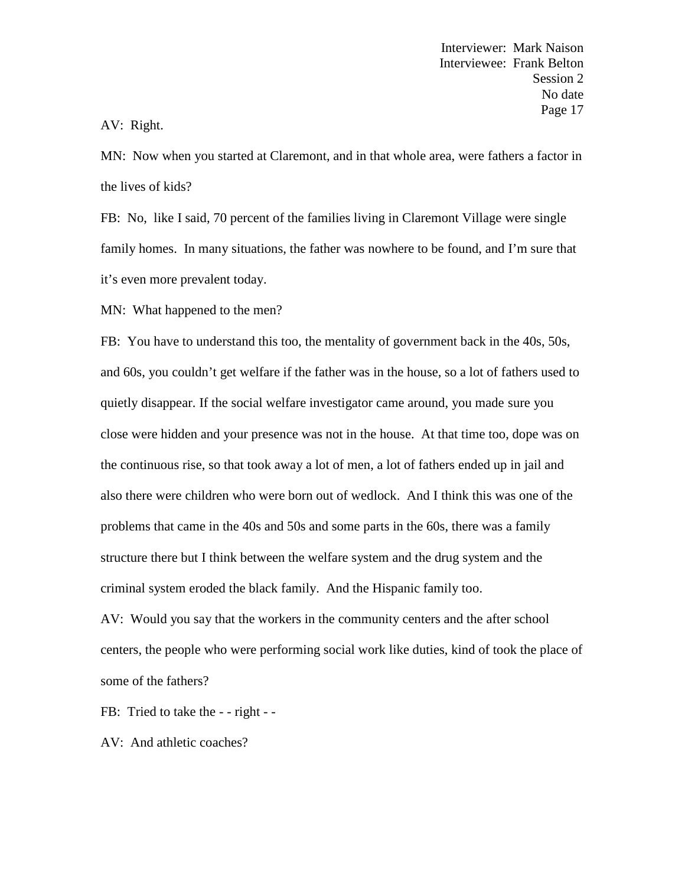# AV: Right.

MN: Now when you started at Claremont, and in that whole area, were fathers a factor in the lives of kids?

FB: No, like I said, 70 percent of the families living in Claremont Village were single family homes. In many situations, the father was nowhere to be found, and I'm sure that it's even more prevalent today.

MN: What happened to the men?

FB: You have to understand this too, the mentality of government back in the 40s, 50s, and 60s, you couldn't get welfare if the father was in the house, so a lot of fathers used to quietly disappear. If the social welfare investigator came around, you made sure you close were hidden and your presence was not in the house. At that time too, dope was on the continuous rise, so that took away a lot of men, a lot of fathers ended up in jail and also there were children who were born out of wedlock. And I think this was one of the problems that came in the 40s and 50s and some parts in the 60s, there was a family structure there but I think between the welfare system and the drug system and the criminal system eroded the black family. And the Hispanic family too.

AV: Would you say that the workers in the community centers and the after school centers, the people who were performing social work like duties, kind of took the place of some of the fathers?

FB: Tried to take the - - right - -

AV: And athletic coaches?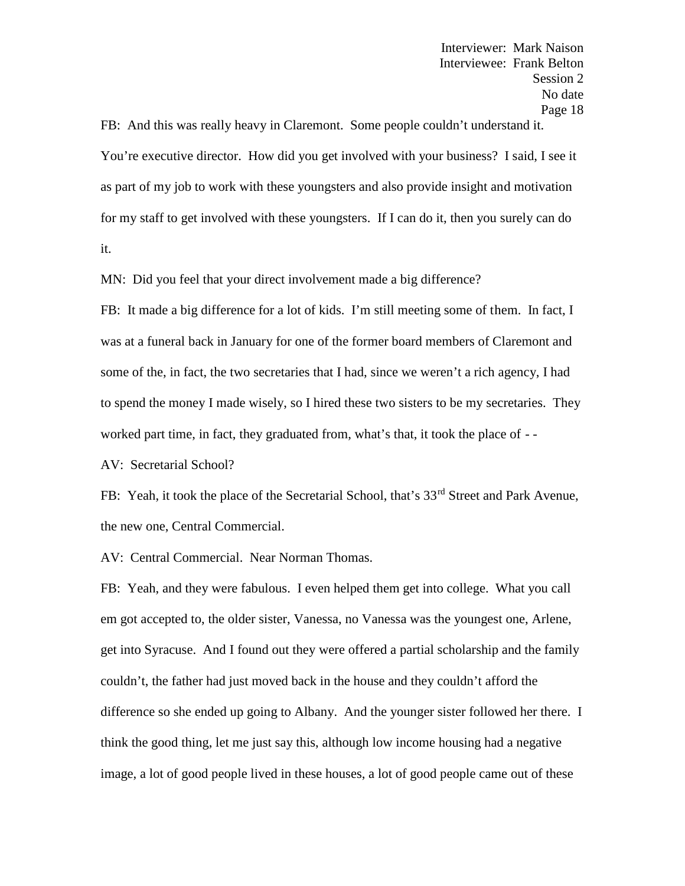FB: And this was really heavy in Claremont. Some people couldn't understand it. You're executive director. How did you get involved with your business? I said, I see it as part of my job to work with these youngsters and also provide insight and motivation for my staff to get involved with these youngsters. If I can do it, then you surely can do it.

MN: Did you feel that your direct involvement made a big difference?

FB: It made a big difference for a lot of kids. I'm still meeting some of them. In fact, I was at a funeral back in January for one of the former board members of Claremont and some of the, in fact, the two secretaries that I had, since we weren't a rich agency, I had to spend the money I made wisely, so I hired these two sisters to be my secretaries. They worked part time, in fact, they graduated from, what's that, it took the place of - -

AV: Secretarial School?

FB: Yeah, it took the place of the Secretarial School, that's 33<sup>rd</sup> Street and Park Avenue, the new one, Central Commercial.

AV: Central Commercial. Near Norman Thomas.

FB: Yeah, and they were fabulous. I even helped them get into college. What you call em got accepted to, the older sister, Vanessa, no Vanessa was the youngest one, Arlene, get into Syracuse. And I found out they were offered a partial scholarship and the family couldn't, the father had just moved back in the house and they couldn't afford the difference so she ended up going to Albany. And the younger sister followed her there. I think the good thing, let me just say this, although low income housing had a negative image, a lot of good people lived in these houses, a lot of good people came out of these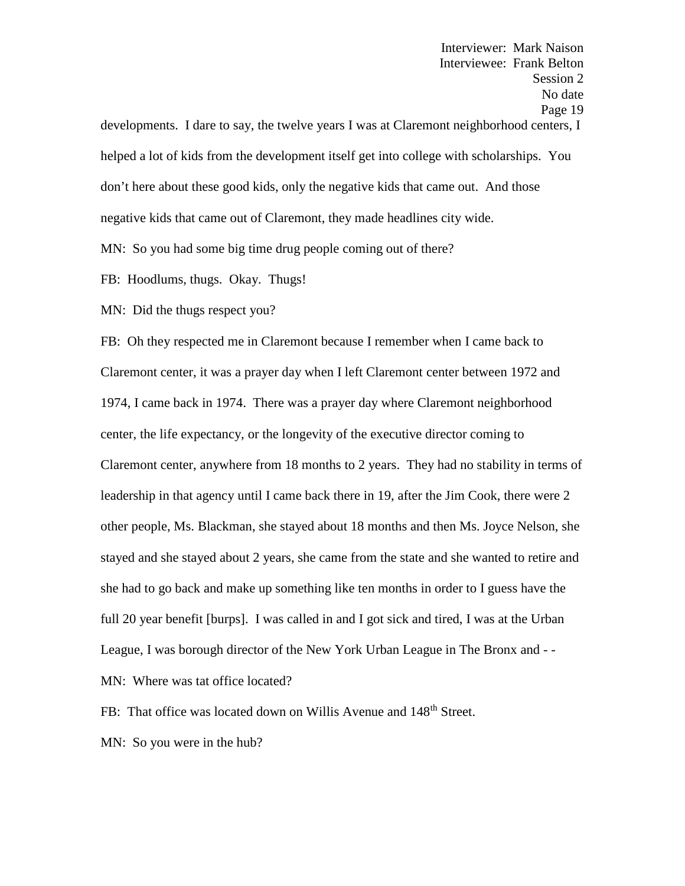Interviewer: Mark Naison Interviewee: Frank Belton Session 2 No date Page 19 developments. I dare to say, the twelve years I was at Claremont neighborhood centers, I helped a lot of kids from the development itself get into college with scholarships. You don't here about these good kids, only the negative kids that came out. And those negative kids that came out of Claremont, they made headlines city wide.

MN: So you had some big time drug people coming out of there?

FB: Hoodlums, thugs. Okay. Thugs!

MN: Did the thugs respect you?

FB: Oh they respected me in Claremont because I remember when I came back to Claremont center, it was a prayer day when I left Claremont center between 1972 and 1974, I came back in 1974. There was a prayer day where Claremont neighborhood center, the life expectancy, or the longevity of the executive director coming to Claremont center, anywhere from 18 months to 2 years. They had no stability in terms of leadership in that agency until I came back there in 19, after the Jim Cook, there were 2 other people, Ms. Blackman, she stayed about 18 months and then Ms. Joyce Nelson, she stayed and she stayed about 2 years, she came from the state and she wanted to retire and she had to go back and make up something like ten months in order to I guess have the full 20 year benefit [burps]. I was called in and I got sick and tired, I was at the Urban League, I was borough director of the New York Urban League in The Bronx and - - MN: Where was tat office located?

FB: That office was located down on Willis Avenue and 148<sup>th</sup> Street.

MN: So you were in the hub?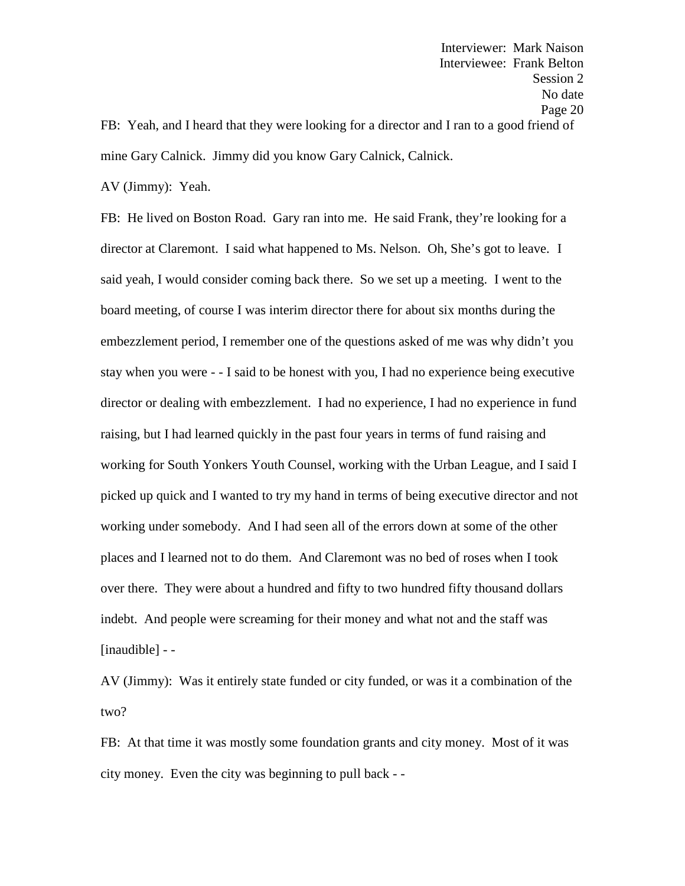Interviewer: Mark Naison Interviewee: Frank Belton Session 2 No date Page 20 FB: Yeah, and I heard that they were looking for a director and I ran to a good friend of mine Gary Calnick. Jimmy did you know Gary Calnick, Calnick.

AV (Jimmy): Yeah.

FB: He lived on Boston Road. Gary ran into me. He said Frank, they're looking for a director at Claremont. I said what happened to Ms. Nelson. Oh, She's got to leave. I said yeah, I would consider coming back there. So we set up a meeting. I went to the board meeting, of course I was interim director there for about six months during the embezzlement period, I remember one of the questions asked of me was why didn't you stay when you were - - I said to be honest with you, I had no experience being executive director or dealing with embezzlement. I had no experience, I had no experience in fund raising, but I had learned quickly in the past four years in terms of fund raising and working for South Yonkers Youth Counsel, working with the Urban League, and I said I picked up quick and I wanted to try my hand in terms of being executive director and not working under somebody. And I had seen all of the errors down at some of the other places and I learned not to do them. And Claremont was no bed of roses when I took over there. They were about a hundred and fifty to two hundred fifty thousand dollars indebt. And people were screaming for their money and what not and the staff was [inaudible] - -

AV (Jimmy): Was it entirely state funded or city funded, or was it a combination of the two?

FB: At that time it was mostly some foundation grants and city money. Most of it was city money. Even the city was beginning to pull back - -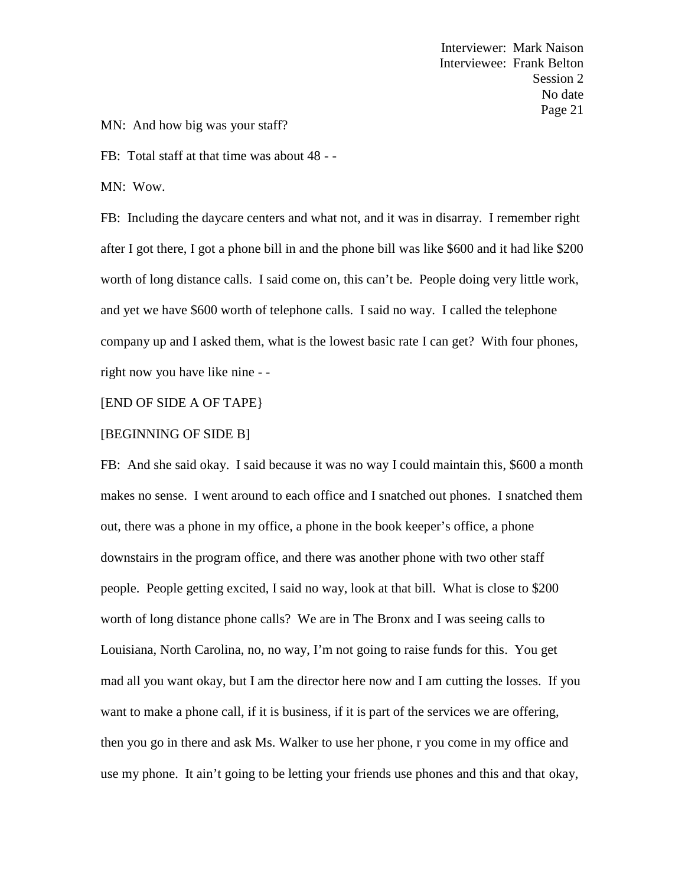MN: And how big was your staff?

FB: Total staff at that time was about 48 - -

MN: Wow.

FB: Including the daycare centers and what not, and it was in disarray. I remember right after I got there, I got a phone bill in and the phone bill was like \$600 and it had like \$200 worth of long distance calls. I said come on, this can't be. People doing very little work, and yet we have \$600 worth of telephone calls. I said no way. I called the telephone company up and I asked them, what is the lowest basic rate I can get? With four phones, right now you have like nine - -

# [END OF SIDE A OF TAPE}

#### [BEGINNING OF SIDE B]

FB: And she said okay. I said because it was no way I could maintain this, \$600 a month makes no sense. I went around to each office and I snatched out phones. I snatched them out, there was a phone in my office, a phone in the book keeper's office, a phone downstairs in the program office, and there was another phone with two other staff people. People getting excited, I said no way, look at that bill. What is close to \$200 worth of long distance phone calls? We are in The Bronx and I was seeing calls to Louisiana, North Carolina, no, no way, I'm not going to raise funds for this. You get mad all you want okay, but I am the director here now and I am cutting the losses. If you want to make a phone call, if it is business, if it is part of the services we are offering, then you go in there and ask Ms. Walker to use her phone, r you come in my office and use my phone. It ain't going to be letting your friends use phones and this and that okay,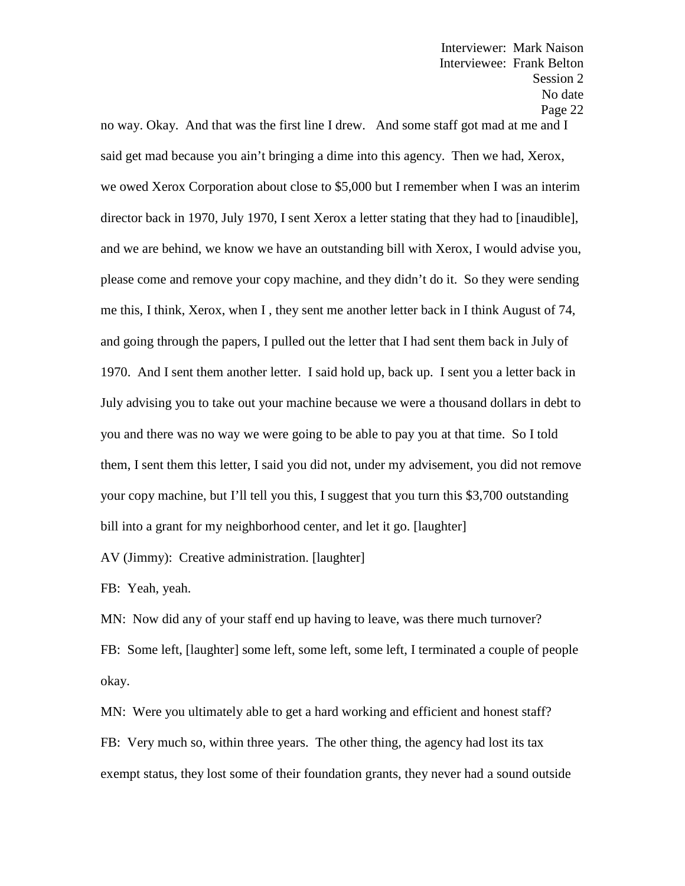no way. Okay. And that was the first line I drew. And some staff got mad at me and I said get mad because you ain't bringing a dime into this agency. Then we had, Xerox, we owed Xerox Corporation about close to \$5,000 but I remember when I was an interim director back in 1970, July 1970, I sent Xerox a letter stating that they had to [inaudible], and we are behind, we know we have an outstanding bill with Xerox, I would advise you, please come and remove your copy machine, and they didn't do it. So they were sending me this, I think, Xerox, when I , they sent me another letter back in I think August of 74, and going through the papers, I pulled out the letter that I had sent them back in July of 1970. And I sent them another letter. I said hold up, back up. I sent you a letter back in July advising you to take out your machine because we were a thousand dollars in debt to you and there was no way we were going to be able to pay you at that time. So I told them, I sent them this letter, I said you did not, under my advisement, you did not remove your copy machine, but I'll tell you this, I suggest that you turn this \$3,700 outstanding bill into a grant for my neighborhood center, and let it go. [laughter]

AV (Jimmy): Creative administration. [laughter]

FB: Yeah, yeah.

MN: Now did any of your staff end up having to leave, was there much turnover? FB: Some left, [laughter] some left, some left, some left, I terminated a couple of people okay.

MN: Were you ultimately able to get a hard working and efficient and honest staff? FB: Very much so, within three years. The other thing, the agency had lost its tax exempt status, they lost some of their foundation grants, they never had a sound outside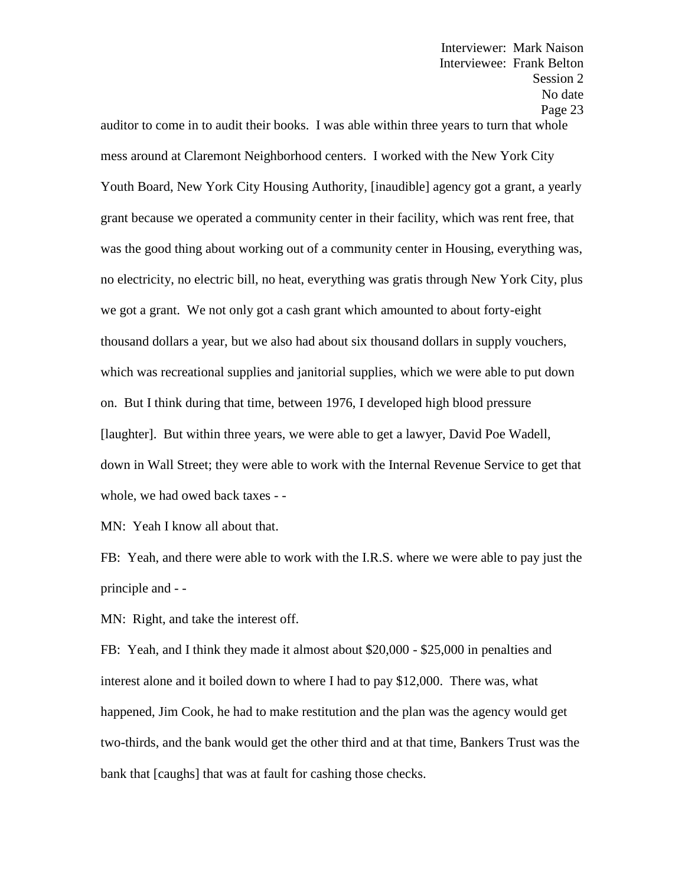auditor to come in to audit their books. I was able within three years to turn that whole mess around at Claremont Neighborhood centers. I worked with the New York City Youth Board, New York City Housing Authority, [inaudible] agency got a grant, a yearly grant because we operated a community center in their facility, which was rent free, that was the good thing about working out of a community center in Housing, everything was, no electricity, no electric bill, no heat, everything was gratis through New York City, plus we got a grant. We not only got a cash grant which amounted to about forty-eight thousand dollars a year, but we also had about six thousand dollars in supply vouchers, which was recreational supplies and janitorial supplies, which we were able to put down on. But I think during that time, between 1976, I developed high blood pressure [laughter]. But within three years, we were able to get a lawyer, David Poe Wadell, down in Wall Street; they were able to work with the Internal Revenue Service to get that whole, we had owed back taxes - -

MN: Yeah I know all about that.

FB: Yeah, and there were able to work with the I.R.S. where we were able to pay just the principle and - -

MN: Right, and take the interest off.

FB: Yeah, and I think they made it almost about \$20,000 - \$25,000 in penalties and interest alone and it boiled down to where I had to pay \$12,000. There was, what happened, Jim Cook, he had to make restitution and the plan was the agency would get two-thirds, and the bank would get the other third and at that time, Bankers Trust was the bank that [caughs] that was at fault for cashing those checks.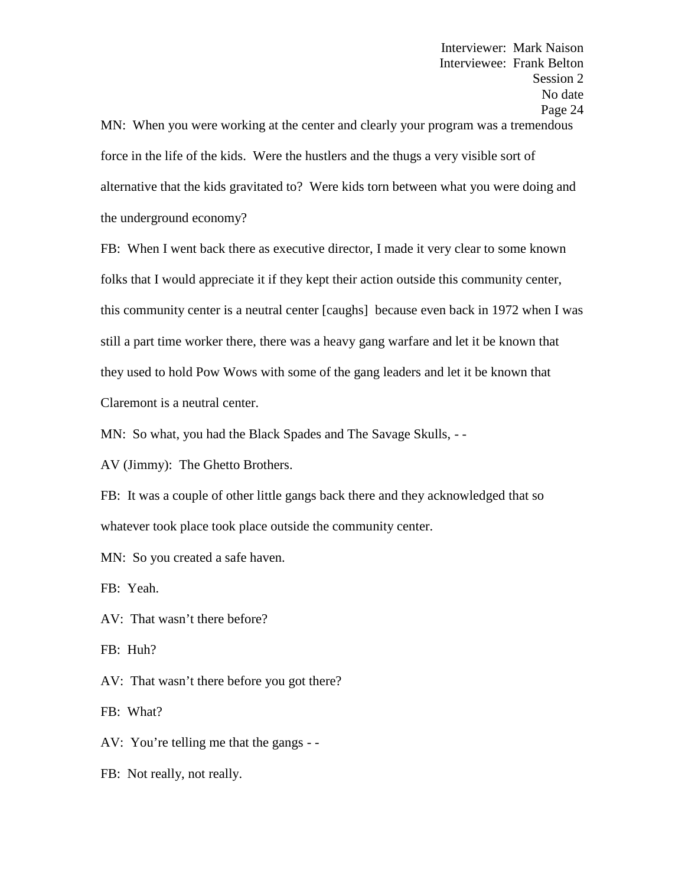MN: When you were working at the center and clearly your program was a tremendous force in the life of the kids. Were the hustlers and the thugs a very visible sort of alternative that the kids gravitated to? Were kids torn between what you were doing and the underground economy?

FB: When I went back there as executive director, I made it very clear to some known folks that I would appreciate it if they kept their action outside this community center, this community center is a neutral center [caughs] because even back in 1972 when I was still a part time worker there, there was a heavy gang warfare and let it be known that they used to hold Pow Wows with some of the gang leaders and let it be known that Claremont is a neutral center.

MN: So what, you had the Black Spades and The Savage Skulls, - -

AV (Jimmy): The Ghetto Brothers.

FB: It was a couple of other little gangs back there and they acknowledged that so whatever took place took place outside the community center.

MN: So you created a safe haven.

FB: Yeah.

AV: That wasn't there before?

FB: Huh?

AV: That wasn't there before you got there?

FB: What?

AV: You're telling me that the gangs - -

FB: Not really, not really.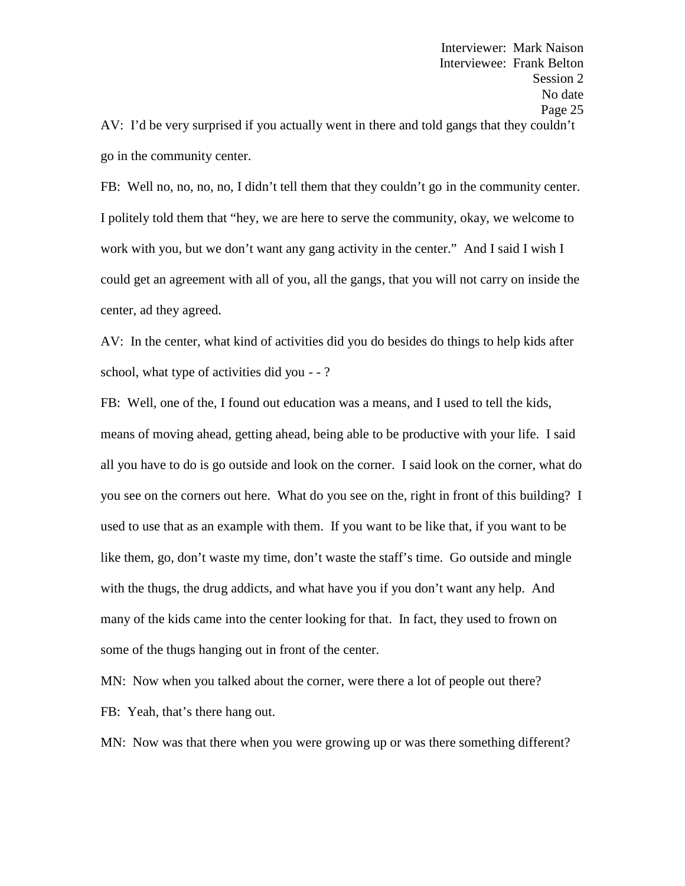AV: I'd be very surprised if you actually went in there and told gangs that they couldn't go in the community center.

FB: Well no, no, no, no, I didn't tell them that they couldn't go in the community center. I politely told them that "hey, we are here to serve the community, okay, we welcome to work with you, but we don't want any gang activity in the center." And I said I wish I could get an agreement with all of you, all the gangs, that you will not carry on inside the center, ad they agreed.

AV: In the center, what kind of activities did you do besides do things to help kids after school, what type of activities did you - - ?

FB: Well, one of the, I found out education was a means, and I used to tell the kids, means of moving ahead, getting ahead, being able to be productive with your life. I said all you have to do is go outside and look on the corner. I said look on the corner, what do you see on the corners out here. What do you see on the, right in front of this building? I used to use that as an example with them. If you want to be like that, if you want to be like them, go, don't waste my time, don't waste the staff's time. Go outside and mingle with the thugs, the drug addicts, and what have you if you don't want any help. And many of the kids came into the center looking for that. In fact, they used to frown on some of the thugs hanging out in front of the center.

MN: Now when you talked about the corner, were there a lot of people out there? FB: Yeah, that's there hang out.

MN: Now was that there when you were growing up or was there something different?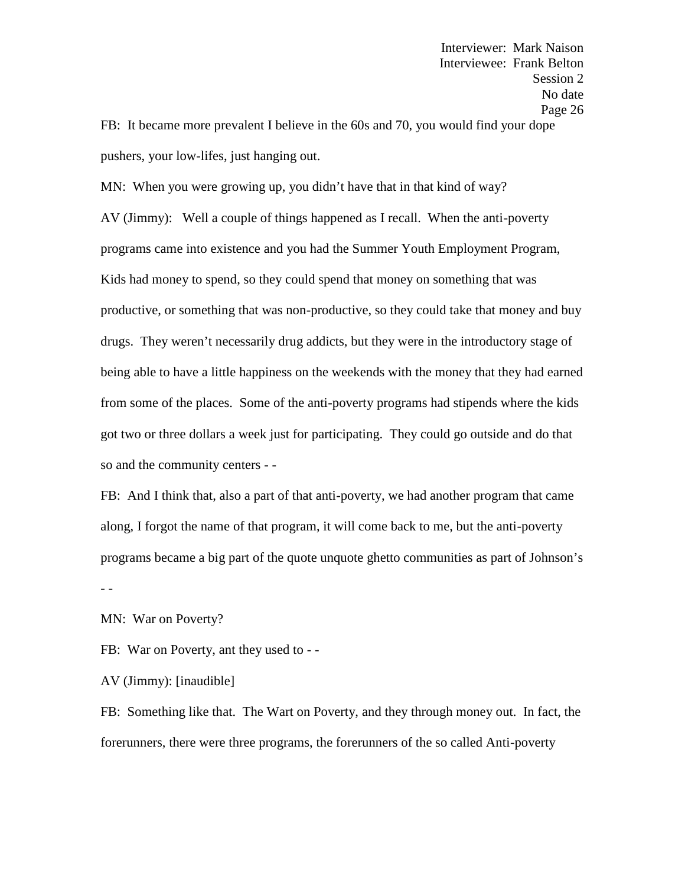FB: It became more prevalent I believe in the 60s and 70, you would find your dope pushers, your low-lifes, just hanging out.

MN: When you were growing up, you didn't have that in that kind of way? AV (Jimmy): Well a couple of things happened as I recall. When the anti-poverty programs came into existence and you had the Summer Youth Employment Program, Kids had money to spend, so they could spend that money on something that was productive, or something that was non-productive, so they could take that money and buy drugs. They weren't necessarily drug addicts, but they were in the introductory stage of being able to have a little happiness on the weekends with the money that they had earned from some of the places. Some of the anti-poverty programs had stipends where the kids got two or three dollars a week just for participating. They could go outside and do that so and the community centers - -

FB: And I think that, also a part of that anti-poverty, we had another program that came along, I forgot the name of that program, it will come back to me, but the anti-poverty programs became a big part of the quote unquote ghetto communities as part of Johnson's - -

MN: War on Poverty?

FB: War on Poverty, ant they used to - -<br>AV (Jimmy): [inaudible]

FB: Something like that. The Wart on Poverty, and they through money out. In fact, the forerunners, there were three programs, the forerunners of the so called Anti-poverty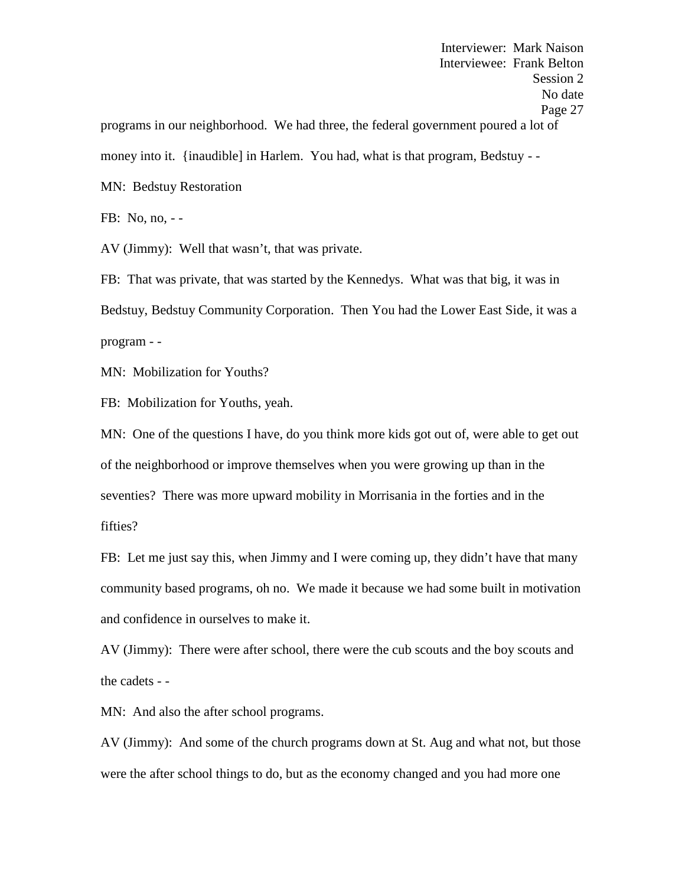Interviewer: Mark Naison Interviewee: Frank Belton Session 2 No date Page 27 programs in our neighborhood. We had three, the federal government poured a lot of money into it. {inaudible] in Harlem. You had, what is that program, Bedstuy - - MN: Bedstuy Restoration

FB: No, no, - -

AV (Jimmy): Well that wasn't, that was private.

FB: That was private, that was started by the Kennedys. What was that big, it was in Bedstuy, Bedstuy Community Corporation. Then You had the Lower East Side, it was a program - -

MN: Mobilization for Youths?

FB: Mobilization for Youths, yeah.

MN: One of the questions I have, do you think more kids got out of, were able to get out of the neighborhood or improve themselves when you were growing up than in the seventies? There was more upward mobility in Morrisania in the forties and in the fifties?

FB: Let me just say this, when Jimmy and I were coming up, they didn't have that many community based programs, oh no. We made it because we had some built in motivation and confidence in ourselves to make it.

AV (Jimmy): There were after school, there were the cub scouts and the boy scouts and the cadets - -

MN: And also the after school programs.

AV (Jimmy): And some of the church programs down at St. Aug and what not, but those were the after school things to do, but as the economy changed and you had more one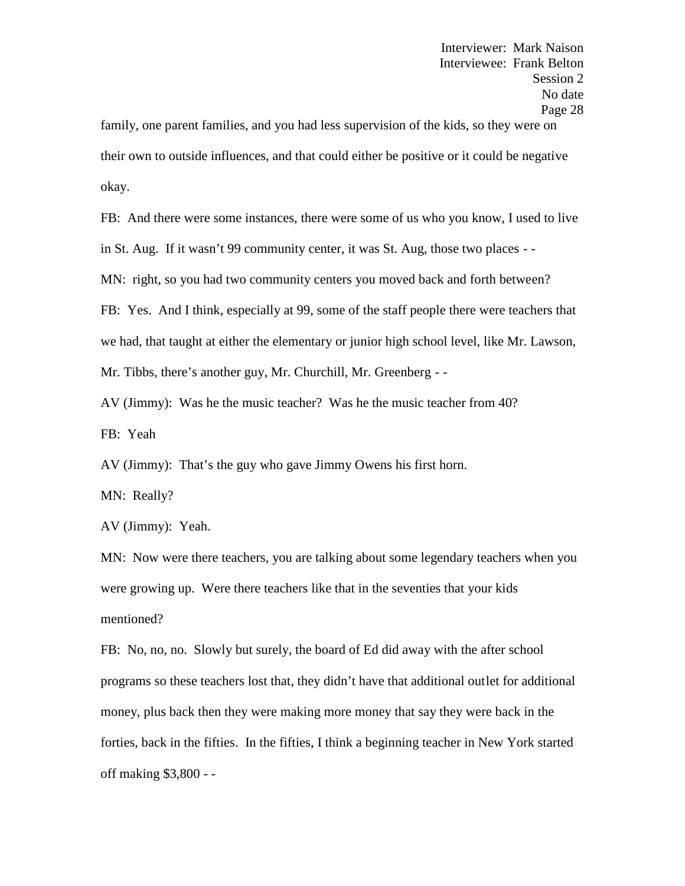family, one parent families, and you had less supervision of the kids, so they were on their own to outside influences, and that could either be positive or it could be negative okay.

FB: And there were some instances, there were some of us who you know, I used to live in St. Aug. If it wasn't 99 community center, it was St. Aug, those two places - -

MN: right, so you had two community centers you moved back and forth between?

FB: Yes. And I think, especially at 99, some of the staff people there were teachers that

we had, that taught at either the elementary or junior high school level, like Mr. Lawson,

Mr. Tibbs, there's another guy, Mr. Churchill, Mr. Greenberg - -

AV (Jimmy): Was he the music teacher? Was he the music teacher from 40? FB: Yeah

AV (Jimmy): That's the guy who gave Jimmy Owens his first horn.

MN: Really?

AV (Jimmy): Yeah.

MN: Now were there teachers, you are talking about some legendary teachers when you were growing up. Were there teachers like that in the seventies that your kids mentioned?

FB: No, no, no. Slowly but surely, the board of Ed did away with the after school programs so these teachers lost that, they didn't have that additional outlet for additional money, plus back then they were making more money that say they were back in the forties, back in the fifties. In the fifties, I think a beginning teacher in New York started off making \$3,800 - -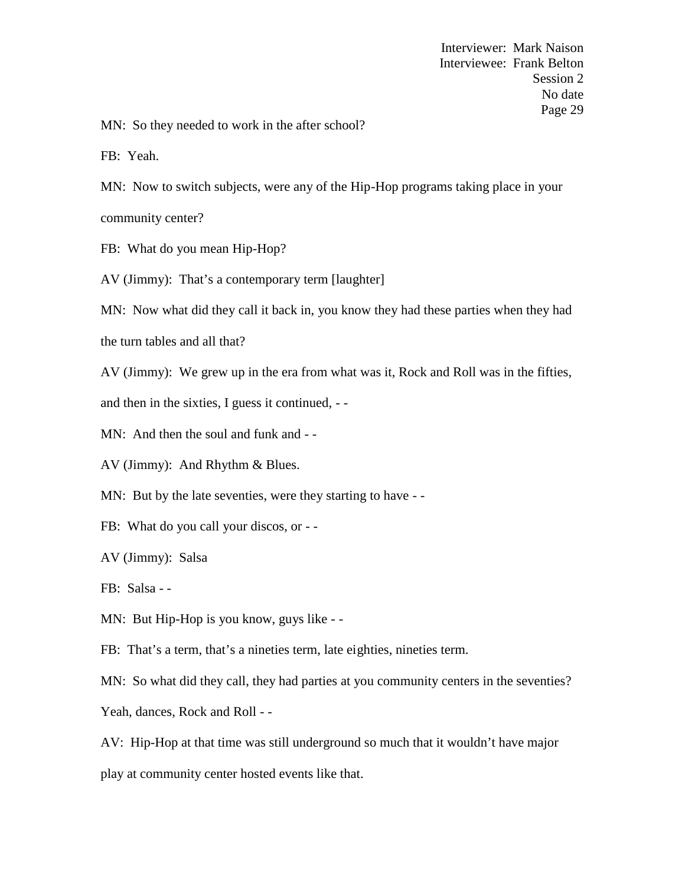MN: So they needed to work in the after school?

FB: Yeah.

MN: Now to switch subjects, were any of the Hip-Hop programs taking place in your community center?

FB: What do you mean Hip-Hop?

AV (Jimmy): That's a contemporary term [laughter]

MN: Now what did they call it back in, you know they had these parties when they had

the turn tables and all that?

AV (Jimmy): We grew up in the era from what was it, Rock and Roll was in the fifties,

and then in the sixties, I guess it continued, - -

MN: And then the soul and funk and - -<br>AV (Jimmy): And Rhythm & Blues.

MN: But by the late seventies, were they starting to have --

FB: What do you call your discos, or - -

AV (Jimmy): Salsa

FB: Salsa - -

MN: But Hip-Hop is you know, guys like - -

FB: That's a term, that's a nineties term, late eighties, nineties term.

MN: So what did they call, they had parties at you community centers in the seventies?

Yeah, dances, Rock and Roll - -

AV: Hip-Hop at that time was still underground so much that it wouldn't have major

play at community center hosted events like that.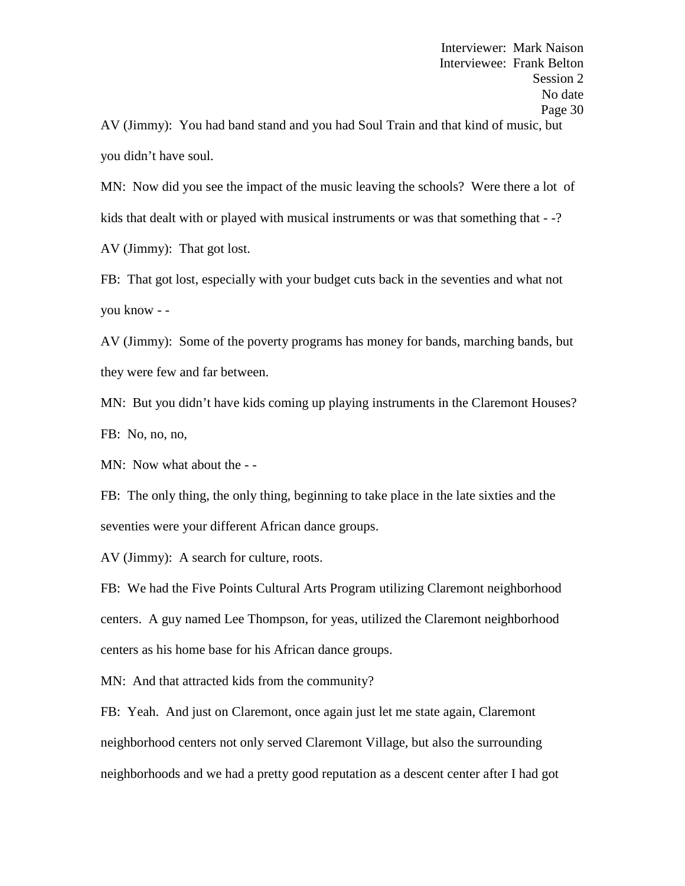AV (Jimmy): You had band stand and you had Soul Train and that kind of music, but you didn't have soul.

MN: Now did you see the impact of the music leaving the schools? Were there a lot of kids that dealt with or played with musical instruments or was that something that  $-2$ ?

AV (Jimmy): That got lost.

FB: That got lost, especially with your budget cuts back in the seventies and what not you know - -

AV (Jimmy): Some of the poverty programs has money for bands, marching bands, but they were few and far between.

MN: But you didn't have kids coming up playing instruments in the Claremont Houses? FB: No, no, no,

MN: Now what about the - -

FB: The only thing, the only thing, beginning to take place in the late sixties and the seventies were your different African dance groups.

AV (Jimmy): A search for culture, roots.

FB: We had the Five Points Cultural Arts Program utilizing Claremont neighborhood centers. A guy named Lee Thompson, for yeas, utilized the Claremont neighborhood centers as his home base for his African dance groups.

MN: And that attracted kids from the community?

FB: Yeah. And just on Claremont, once again just let me state again, Claremont neighborhood centers not only served Claremont Village, but also the surrounding neighborhoods and we had a pretty good reputation as a descent center after I had got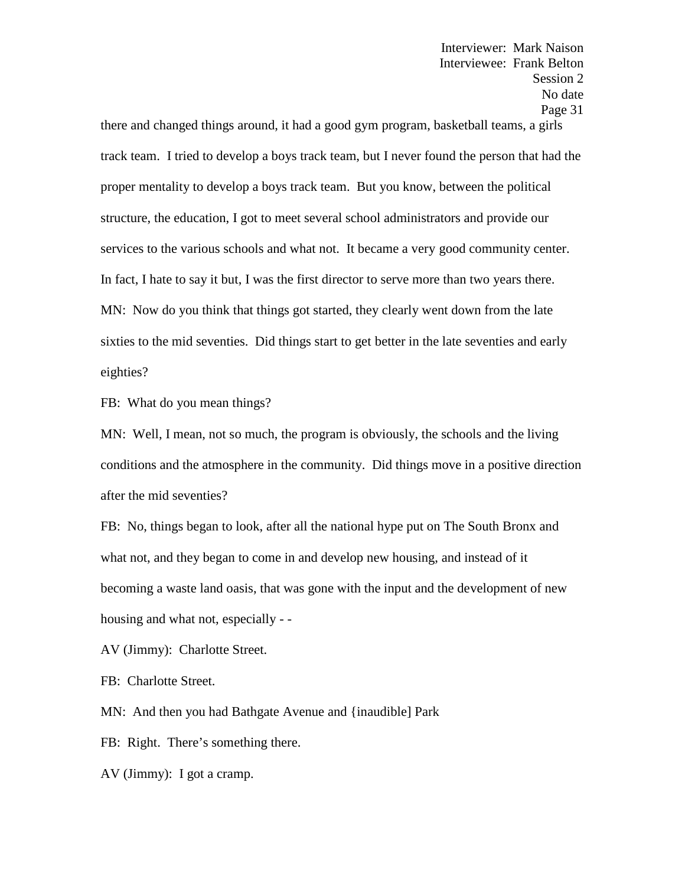there and changed things around, it had a good gym program, basketball teams, a girls track team. I tried to develop a boys track team, but I never found the person that had the proper mentality to develop a boys track team. But you know, between the political structure, the education, I got to meet several school administrators and provide our services to the various schools and what not. It became a very good community center. In fact, I hate to say it but, I was the first director to serve more than two years there. MN: Now do you think that things got started, they clearly went down from the late sixties to the mid seventies. Did things start to get better in the late seventies and early eighties?

FB: What do you mean things?

MN: Well, I mean, not so much, the program is obviously, the schools and the living conditions and the atmosphere in the community. Did things move in a positive direction after the mid seventies?

FB: No, things began to look, after all the national hype put on The South Bronx and what not, and they began to come in and develop new housing, and instead of it becoming a waste land oasis, that was gone with the input and the development of new housing and what not, especially - -

AV (Jimmy): Charlotte Street.

FB: Charlotte Street.

MN: And then you had Bathgate Avenue and {inaudible] Park

FB: Right. There's something there.

AV (Jimmy): I got a cramp.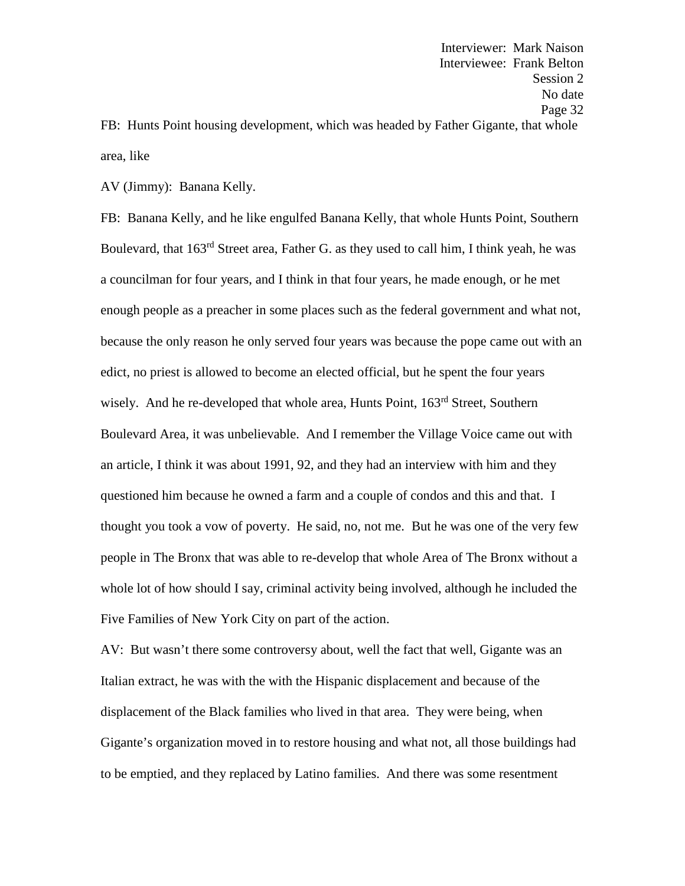FB: Hunts Point housing development, which was headed by Father Gigante, that whole area, like

AV (Jimmy): Banana Kelly.

FB: Banana Kelly, and he like engulfed Banana Kelly, that whole Hunts Point, Southern Boulevard, that 163<sup>rd</sup> Street area, Father G. as they used to call him, I think yeah, he was a councilman for four years, and I think in that four years, he made enough, or he met enough people as a preacher in some places such as the federal government and what not, because the only reason he only served four years was because the pope came out with an edict, no priest is allowed to become an elected official, but he spent the four years wisely. And he re-developed that whole area, Hunts Point, 163<sup>rd</sup> Street, Southern Boulevard Area, it was unbelievable. And I remember the Village Voice came out with an article, I think it was about 1991, 92, and they had an interview with him and they questioned him because he owned a farm and a couple of condos and this and that. I thought you took a vow of poverty. He said, no, not me. But he was one of the very few people in The Bronx that was able to re-develop that whole Area of The Bronx without a whole lot of how should I say, criminal activity being involved, although he included the Five Families of New York City on part of the action.

AV: But wasn't there some controversy about, well the fact that well, Gigante was an Italian extract, he was with the with the Hispanic displacement and because of the displacement of the Black families who lived in that area. They were being, when Gigante's organization moved in to restore housing and what not, all those buildings had to be emptied, and they replaced by Latino families. And there was some resentment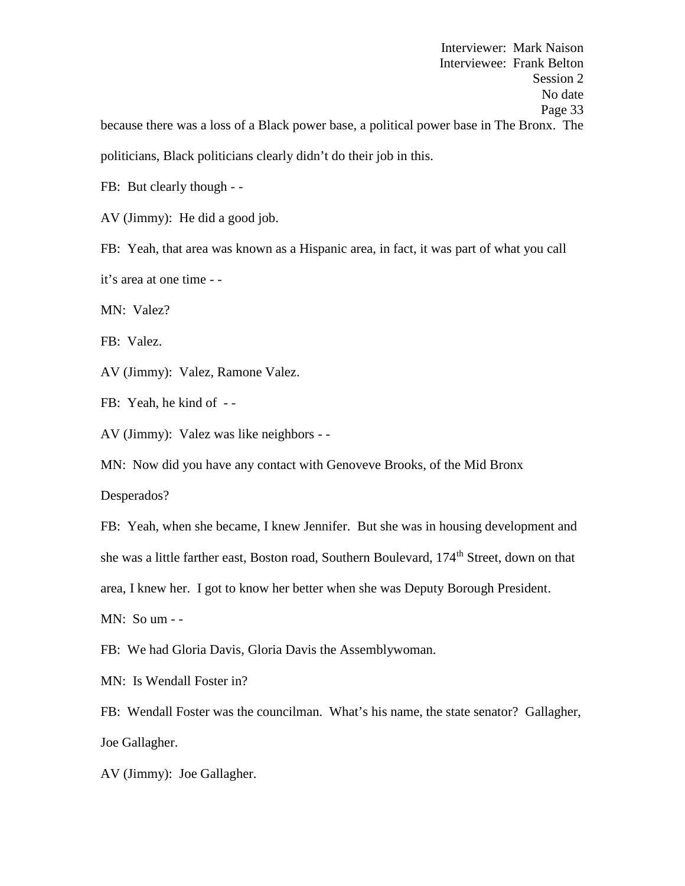Interviewer: Mark Naison Interviewee: Frank Belton Session 2 No date Page 33 because there was a loss of a Black power base, a political power base in The Bronx. The politicians, Black politicians clearly didn't do their job in this.

FB: But clearly though - -<br>AV (Jimmy): He did a good job.

FB: Yeah, that area was known as a Hispanic area, in fact, it was part of what you call it's area at one time - -

MN: Valez?

FB: Valez.

AV (Jimmy): Valez, Ramone Valez.

FB: Yeah, he kind of --

AV (Jimmy): Valez was like neighbors - -

MN: Now did you have any contact with Genoveve Brooks, of the Mid Bronx

Desperados?

FB: Yeah, when she became, I knew Jennifer. But she was in housing development and she was a little farther east, Boston road, Southern Boulevard, 174<sup>th</sup> Street, down on that area, I knew her. I got to know her better when she was Deputy Borough President. MN: So um - -

FB: We had Gloria Davis, Gloria Davis the Assemblywoman.

MN: Is Wendall Foster in?

FB: Wendall Foster was the councilman. What's his name, the state senator? Gallagher, Joe Gallagher.

AV (Jimmy): Joe Gallagher.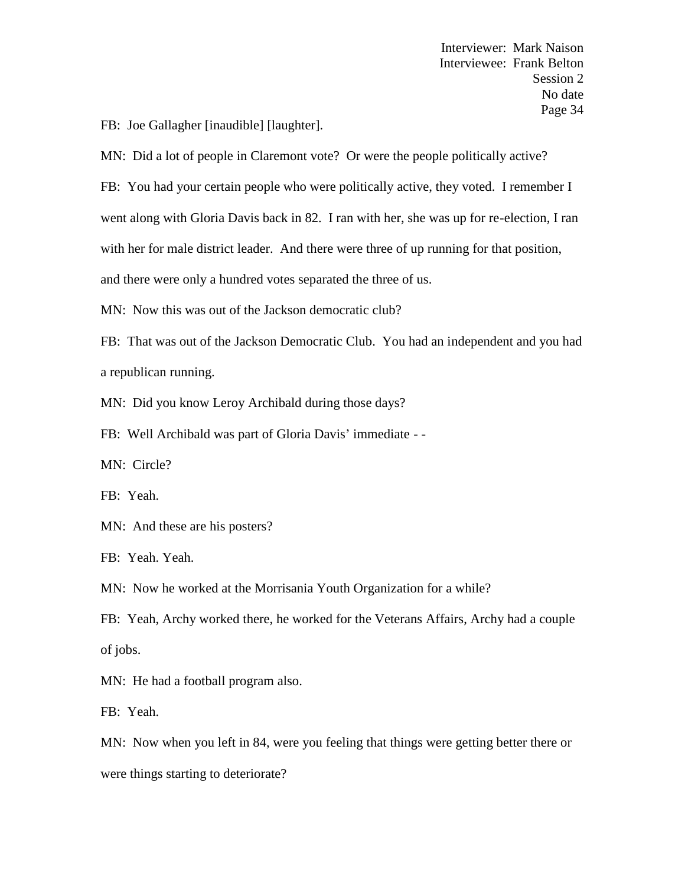FB: Joe Gallagher [inaudible] [laughter].

MN: Did a lot of people in Claremont vote? Or were the people politically active?

FB: You had your certain people who were politically active, they voted. I remember I went along with Gloria Davis back in 82. I ran with her, she was up for re-election, I ran with her for male district leader. And there were three of up running for that position, and there were only a hundred votes separated the three of us.

MN: Now this was out of the Jackson democratic club?

FB: That was out of the Jackson Democratic Club. You had an independent and you had a republican running.

MN: Did you know Leroy Archibald during those days?

FB: Well Archibald was part of Gloria Davis' immediate - -

MN: Circle?

FB: Yeah.

MN: And these are his posters?

FB: Yeah. Yeah.

MN: Now he worked at the Morrisania Youth Organization for a while?

FB: Yeah, Archy worked there, he worked for the Veterans Affairs, Archy had a couple of jobs.

MN: He had a football program also.

FB: Yeah.

MN: Now when you left in 84, were you feeling that things were getting better there or

were things starting to deteriorate?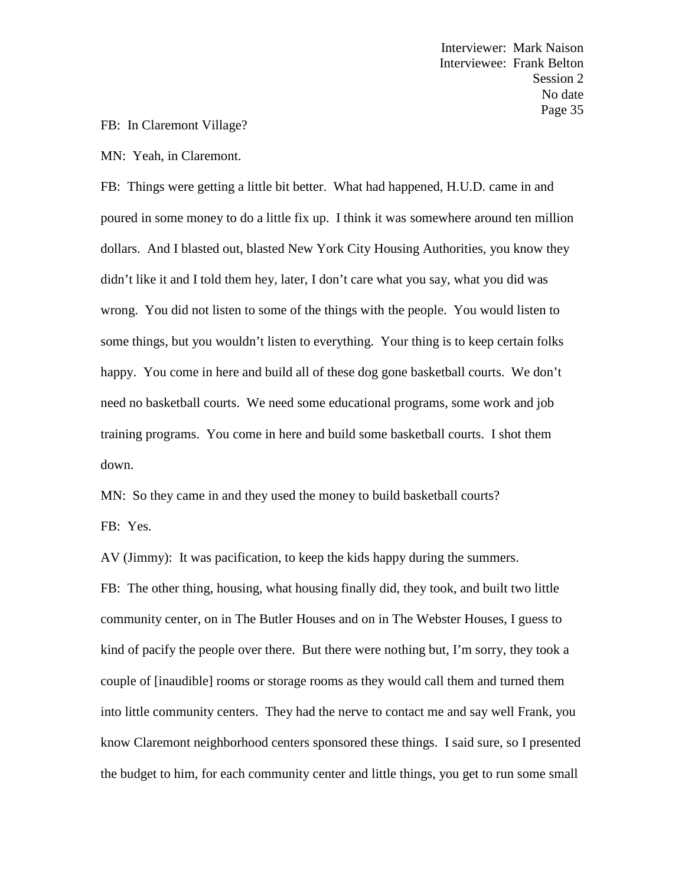### FB: In Claremont Village?

MN: Yeah, in Claremont.

FB: Things were getting a little bit better. What had happened, H.U.D. came in and poured in some money to do a little fix up. I think it was somewhere around ten million dollars. And I blasted out, blasted New York City Housing Authorities, you know they didn't like it and I told them hey, later, I don't care what you say, what you did was wrong. You did not listen to some of the things with the people. You would listen to some things, but you wouldn't listen to everything. Your thing is to keep certain folks happy. You come in here and build all of these dog gone basketball courts. We don't need no basketball courts. We need some educational programs, some work and job training programs. You come in here and build some basketball courts. I shot them down.

MN: So they came in and they used the money to build basketball courts? FB: Yes.

AV (Jimmy): It was pacification, to keep the kids happy during the summers.

FB: The other thing, housing, what housing finally did, they took, and built two little community center, on in The Butler Houses and on in The Webster Houses, I guess to kind of pacify the people over there. But there were nothing but, I'm sorry, they took a couple of [inaudible] rooms or storage rooms as they would call them and turned them into little community centers. They had the nerve to contact me and say well Frank, you know Claremont neighborhood centers sponsored these things. I said sure, so I presented the budget to him, for each community center and little things, you get to run some small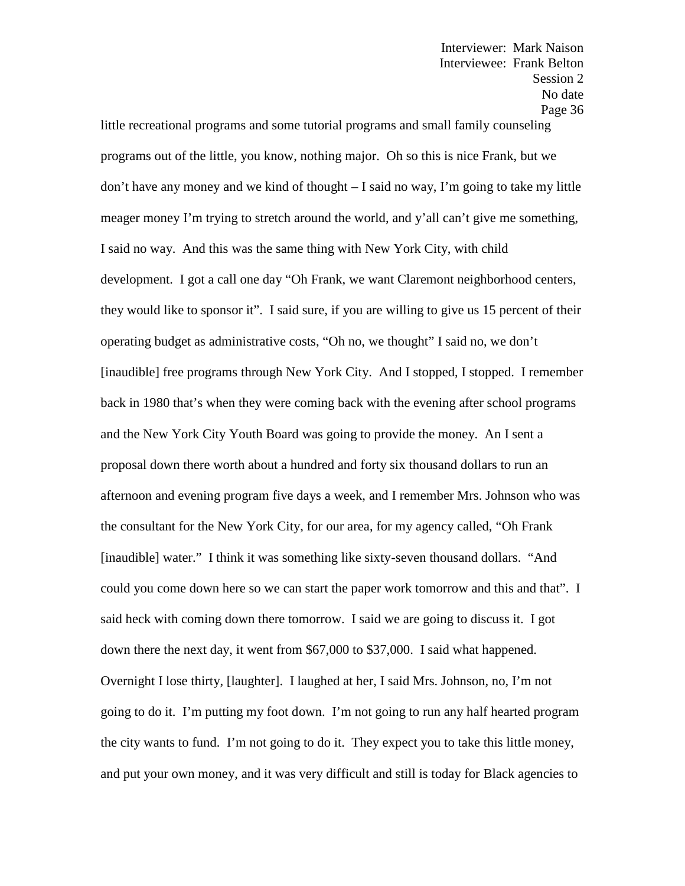little recreational programs and some tutorial programs and small family counseling programs out of the little, you know, nothing major. Oh so this is nice Frank, but we don't have any money and we kind of thought  $-1$  said no way, I'm going to take my little meager money I'm trying to stretch around the world, and y'all can't give me something, I said no way. And this was the same thing with New York City, with child development. I got a call one day "Oh Frank, we want Claremont neighborhood centers, they would like to sponsor it". I said sure, if you are willing to give us 15 percent of their operating budget as administrative costs, "Oh no, we thought" I said no, we don't [inaudible] free programs through New York City. And I stopped, I stopped. I remember back in 1980 that's when they were coming back with the evening after school programs and the New York City Youth Board was going to provide the money. An I sent a proposal down there worth about a hundred and forty six thousand dollars to run an afternoon and evening program five days a week, and I remember Mrs. Johnson who was the consultant for the New York City, for our area, for my agency called, "Oh Frank [inaudible] water." I think it was something like sixty-seven thousand dollars. "And could you come down here so we can start the paper work tomorrow and this and that". I said heck with coming down there tomorrow. I said we are going to discuss it. I got down there the next day, it went from \$67,000 to \$37,000. I said what happened. Overnight I lose thirty, [laughter]. I laughed at her, I said Mrs. Johnson, no, I'm not going to do it. I'm putting my foot down. I'm not going to run any half hearted program the city wants to fund. I'm not going to do it. They expect you to take this little money, and put your own money, and it was very difficult and still is today for Black agencies to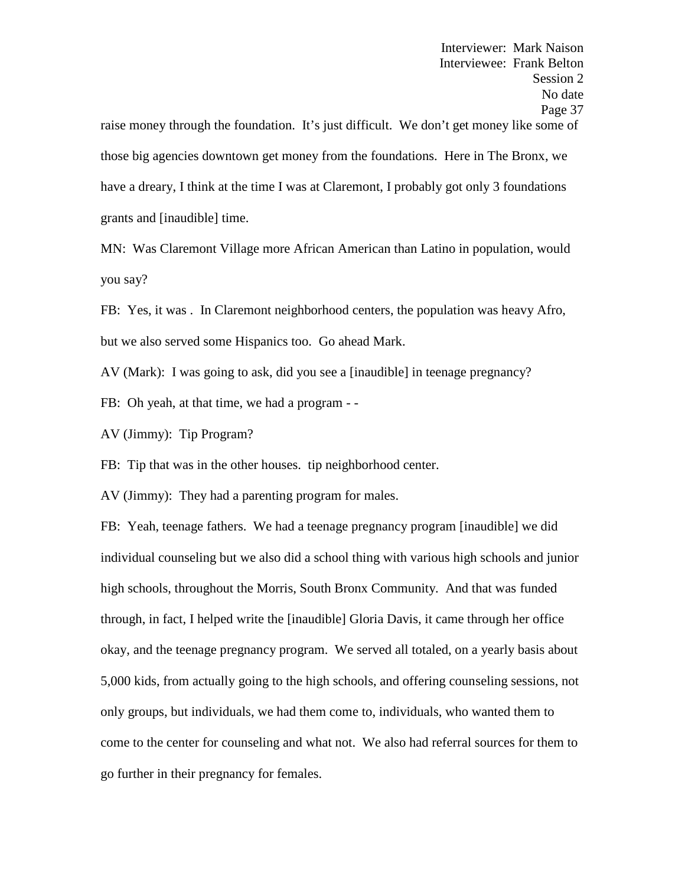raise money through the foundation. It's just difficult. We don't get money like some of those big agencies downtown get money from the foundations. Here in The Bronx, we have a dreary, I think at the time I was at Claremont, I probably got only 3 foundations grants and [inaudible] time.

MN: Was Claremont Village more African American than Latino in population, would you say?

FB: Yes, it was . In Claremont neighborhood centers, the population was heavy Afro, but we also served some Hispanics too. Go ahead Mark.

AV (Mark): I was going to ask, did you see a [inaudible] in teenage pregnancy?

FB: Oh yeah, at that time, we had a program - -

AV (Jimmy): Tip Program?

FB: Tip that was in the other houses. tip neighborhood center.

AV (Jimmy): They had a parenting program for males.

FB: Yeah, teenage fathers. We had a teenage pregnancy program [inaudible] we did individual counseling but we also did a school thing with various high schools and junior high schools, throughout the Morris, South Bronx Community. And that was funded through, in fact, I helped write the [inaudible] Gloria Davis, it came through her office okay, and the teenage pregnancy program. We served all totaled, on a yearly basis about 5,000 kids, from actually going to the high schools, and offering counseling sessions, not only groups, but individuals, we had them come to, individuals, who wanted them to come to the center for counseling and what not. We also had referral sources for them to go further in their pregnancy for females.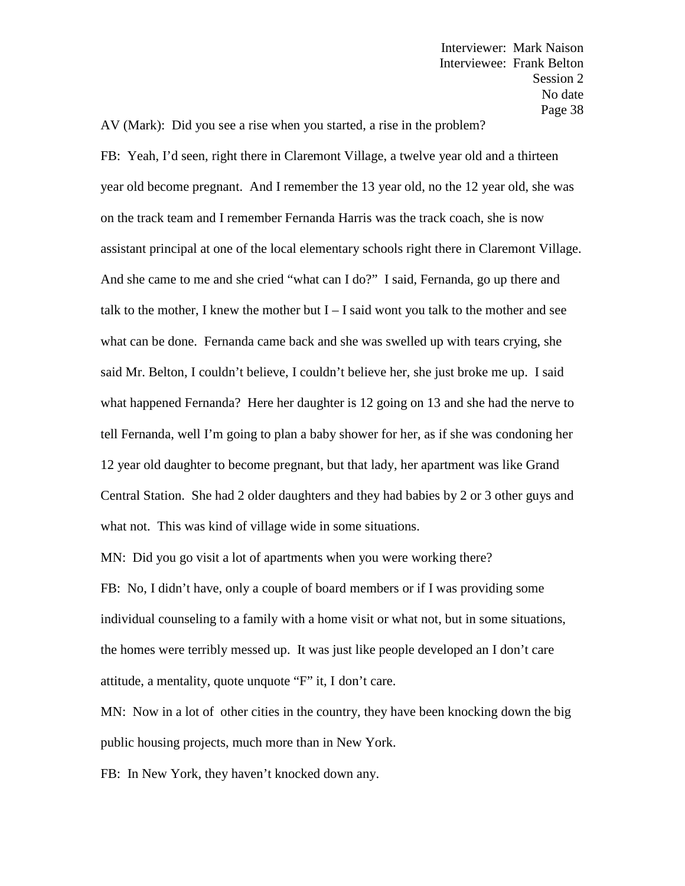AV (Mark): Did you see a rise when you started, a rise in the problem?

FB: Yeah, I'd seen, right there in Claremont Village, a twelve year old and a thirteen year old become pregnant. And I remember the 13 year old, no the 12 year old, she was on the track team and I remember Fernanda Harris was the track coach, she is now assistant principal at one of the local elementary schools right there in Claremont Village. And she came to me and she cried "what can I do?" I said, Fernanda, go up there and talk to the mother, I knew the mother but  $I - I$  said wont you talk to the mother and see what can be done. Fernanda came back and she was swelled up with tears crying, she said Mr. Belton, I couldn't believe, I couldn't believe her, she just broke me up. I said what happened Fernanda? Here her daughter is 12 going on 13 and she had the nerve to tell Fernanda, well I'm going to plan a baby shower for her, as if she was condoning her 12 year old daughter to become pregnant, but that lady, her apartment was like Grand Central Station. She had 2 older daughters and they had babies by 2 or 3 other guys and what not. This was kind of village wide in some situations.

MN: Did you go visit a lot of apartments when you were working there? FB: No, I didn't have, only a couple of board members or if I was providing some individual counseling to a family with a home visit or what not, but in some situations, the homes were terribly messed up. It was just like people developed an I don't care attitude, a mentality, quote unquote "F" it, I don't care.

MN: Now in a lot of other cities in the country, they have been knocking down the big public housing projects, much more than in New York.

FB: In New York, they haven't knocked down any.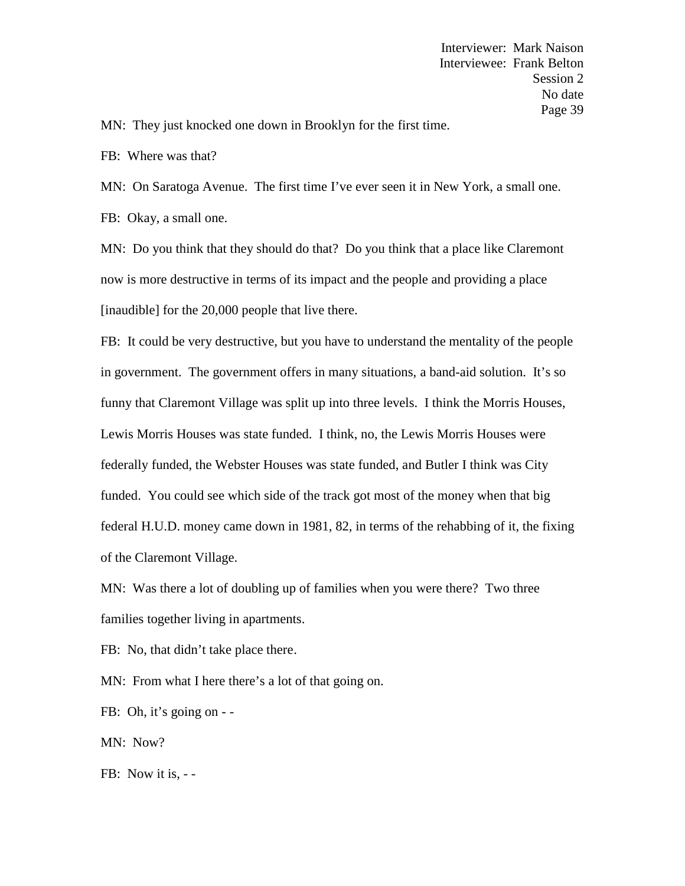MN: They just knocked one down in Brooklyn for the first time.

FB: Where was that?

MN: On Saratoga Avenue. The first time I've ever seen it in New York, a small one.

FB: Okay, a small one.

MN: Do you think that they should do that? Do you think that a place like Claremont now is more destructive in terms of its impact and the people and providing a place [inaudible] for the 20,000 people that live there.

FB: It could be very destructive, but you have to understand the mentality of the people in government. The government offers in many situations, a band-aid solution. It's so funny that Claremont Village was split up into three levels. I think the Morris Houses, Lewis Morris Houses was state funded. I think, no, the Lewis Morris Houses were federally funded, the Webster Houses was state funded, and Butler I think was City funded. You could see which side of the track got most of the money when that big federal H.U.D. money came down in 1981, 82, in terms of the rehabbing of it, the fixing of the Claremont Village.

MN: Was there a lot of doubling up of families when you were there? Two three families together living in apartments.

FB: No, that didn't take place there.

MN: From what I here there's a lot of that going on.

FB: Oh, it's going on - -<br>MN: Now?

FB: Now it is, --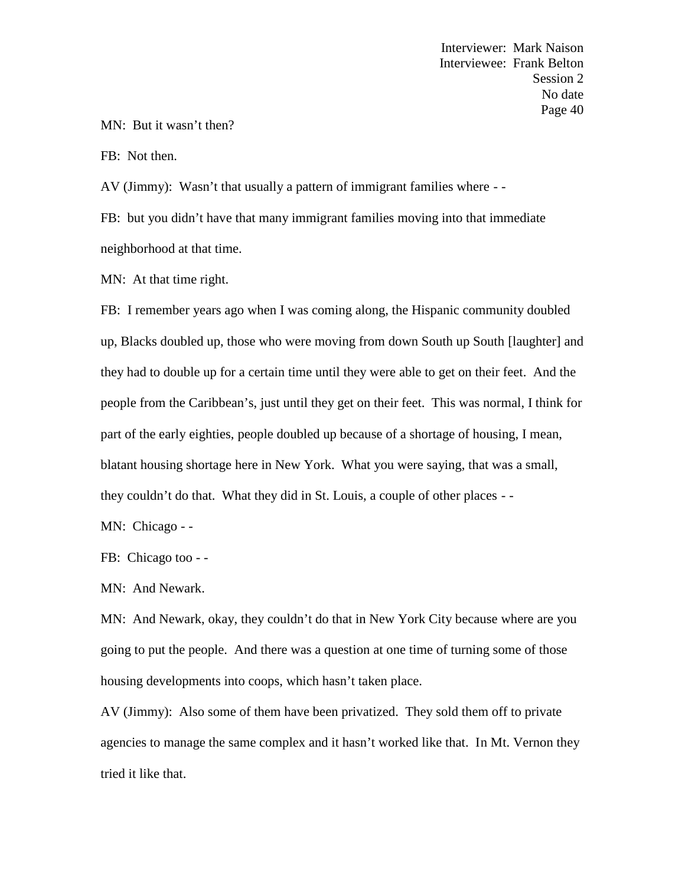### MN: But it wasn't then?

FB: Not then.

AV (Jimmy): Wasn't that usually a pattern of immigrant families where - -

FB: but you didn't have that many immigrant families moving into that immediate neighborhood at that time.

MN: At that time right.

FB: I remember years ago when I was coming along, the Hispanic community doubled up, Blacks doubled up, those who were moving from down South up South [laughter] and they had to double up for a certain time until they were able to get on their feet. And the people from the Caribbean's, just until they get on their feet. This was normal, I think for part of the early eighties, people doubled up because of a shortage of housing, I mean, blatant housing shortage here in New York. What you were saying, that was a small, they couldn't do that. What they did in St. Louis, a couple of other places - -

MN: Chicago - -<br>FB: Chicago too - -<br>MN: And Newark.

MN: And Newark, okay, they couldn't do that in New York City because where are you going to put the people. And there was a question at one time of turning some of those housing developments into coops, which hasn't taken place.

AV (Jimmy): Also some of them have been privatized. They sold them off to private agencies to manage the same complex and it hasn't worked like that. In Mt. Vernon they tried it like that.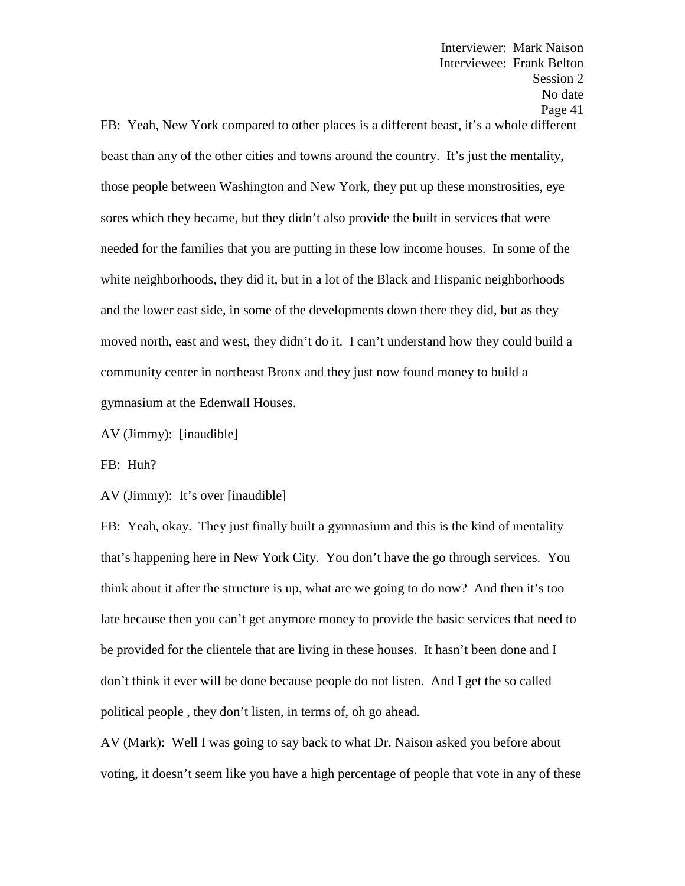FB: Yeah, New York compared to other places is a different beast, it's a whole different beast than any of the other cities and towns around the country. It's just the mentality, those people between Washington and New York, they put up these monstrosities, eye sores which they became, but they didn't also provide the built in services that were needed for the families that you are putting in these low income houses. In some of the white neighborhoods, they did it, but in a lot of the Black and Hispanic neighborhoods and the lower east side, in some of the developments down there they did, but as they moved north, east and west, they didn't do it. I can't understand how they could build a community center in northeast Bronx and they just now found money to build a gymnasium at the Edenwall Houses.

AV (Jimmy): [inaudible]

FB: Huh?

AV (Jimmy): It's over [inaudible]

FB: Yeah, okay. They just finally built a gymnasium and this is the kind of mentality that's happening here in New York City. You don't have the go through services. You think about it after the structure is up, what are we going to do now? And then it's too late because then you can't get anymore money to provide the basic services that need to be provided for the clientele that are living in these houses. It hasn't been done and I don't think it ever will be done because people do not listen. And I get the so called political people , they don't listen, in terms of, oh go ahead.

AV (Mark): Well I was going to say back to what Dr. Naison asked you before about voting, it doesn't seem like you have a high percentage of people that vote in any of these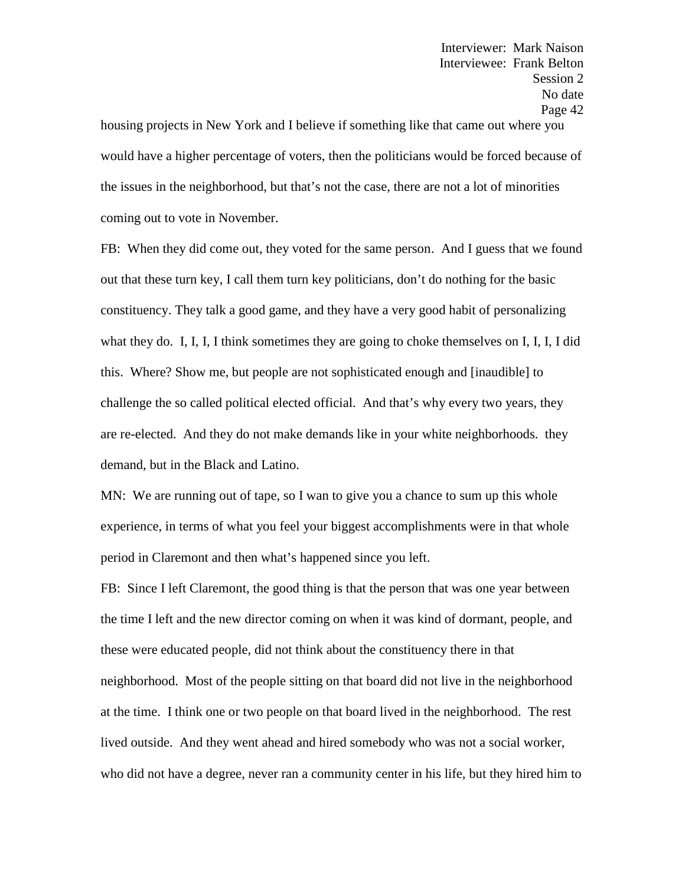housing projects in New York and I believe if something like that came out where you would have a higher percentage of voters, then the politicians would be forced because of the issues in the neighborhood, but that's not the case, there are not a lot of minorities coming out to vote in November.

FB: When they did come out, they voted for the same person. And I guess that we found out that these turn key, I call them turn key politicians, don't do nothing for the basic constituency. They talk a good game, and they have a very good habit of personalizing what they do. I, I, I, I think sometimes they are going to choke themselves on I, I, I, I did this. Where? Show me, but people are not sophisticated enough and [inaudible] to challenge the so called political elected official. And that's why every two years, they are re-elected. And they do not make demands like in your white neighborhoods. they demand, but in the Black and Latino.

MN: We are running out of tape, so I wan to give you a chance to sum up this whole experience, in terms of what you feel your biggest accomplishments were in that whole period in Claremont and then what's happened since you left.

FB: Since I left Claremont, the good thing is that the person that was one year between the time I left and the new director coming on when it was kind of dormant, people, and these were educated people, did not think about the constituency there in that neighborhood. Most of the people sitting on that board did not live in the neighborhood at the time. I think one or two people on that board lived in the neighborhood. The rest lived outside. And they went ahead and hired somebody who was not a social worker, who did not have a degree, never ran a community center in his life, but they hired him to